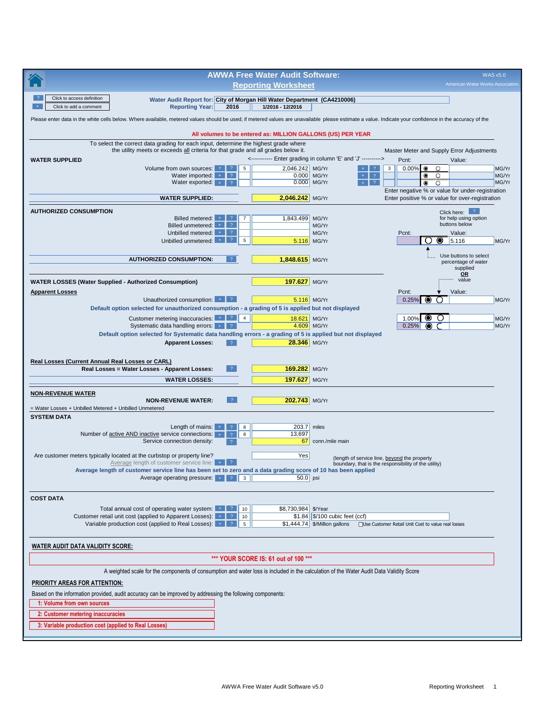|                                                                                                                                                                                                        |                                                                                                                                   | <b>AWWA Free Water Audit Software:</b> |                                                                                                                         |                                                                          |                                                          | <b>WAS v5.0</b> |
|--------------------------------------------------------------------------------------------------------------------------------------------------------------------------------------------------------|-----------------------------------------------------------------------------------------------------------------------------------|----------------------------------------|-------------------------------------------------------------------------------------------------------------------------|--------------------------------------------------------------------------|----------------------------------------------------------|-----------------|
|                                                                                                                                                                                                        |                                                                                                                                   | <b>Reporting Worksheet</b>             |                                                                                                                         |                                                                          | American Water Works Association.                        |                 |
| Click to access definition<br>Click to add a comment                                                                                                                                                   | Water Audit Report for: City of Morgan Hill Water Department (CA4210006)<br><b>Reporting Year:</b><br>2016                        | 1/2016 - 12/2016                       |                                                                                                                         |                                                                          |                                                          |                 |
| Please enter data in the white cells below. Where available, metered values should be used; if metered values are unavailable please estimate a value. Indicate your confidence in the accuracy of the |                                                                                                                                   |                                        |                                                                                                                         |                                                                          |                                                          |                 |
|                                                                                                                                                                                                        | All volumes to be entered as: MILLION GALLONS (US) PER YEAR                                                                       |                                        |                                                                                                                         |                                                                          |                                                          |                 |
| To select the correct data grading for each input, determine the highest grade where                                                                                                                   |                                                                                                                                   |                                        |                                                                                                                         |                                                                          |                                                          |                 |
|                                                                                                                                                                                                        | the utility meets or exceeds all criteria for that grade and all grades below it.                                                 |                                        | <----------- Enter grading in column 'E' and 'J' ---------->                                                            | Master Meter and Supply Error Adjustments                                |                                                          |                 |
| <b>WATER SUPPLIED</b>                                                                                                                                                                                  | Volume from own sources: +<br>5<br>-2.                                                                                            | 2,046.242                              | MG/Yr<br>$\overline{\mathcal{E}}$                                                                                       | Pcnt:<br>0.00%<br>$\bullet$<br>$\circ$<br>3                              | Value:                                                   | MG/Yr           |
|                                                                                                                                                                                                        | Water imported: $+$<br>$\sqrt{?}$<br>Water exported: $+$                                                                          | 0.000                                  | $\overline{?}$<br>MG/Yr<br>$\pm$<br>$\overline{?}$                                                                      | $\bullet$<br>O                                                           |                                                          | MG/Yr<br>MG/Yr  |
|                                                                                                                                                                                                        |                                                                                                                                   |                                        | 0.000 MG/Yr<br>$+$ $\,$                                                                                                 | $\bullet$<br>$\circ$<br>Enter negative % or value for under-registration |                                                          |                 |
|                                                                                                                                                                                                        | <b>WATER SUPPLIED:</b>                                                                                                            | 2,046.242 MG/Yr                        |                                                                                                                         | Enter positive % or value for over-registration                          |                                                          |                 |
| <b>AUTHORIZED CONSUMPTION</b>                                                                                                                                                                          |                                                                                                                                   |                                        |                                                                                                                         |                                                                          | Click here: ?                                            |                 |
|                                                                                                                                                                                                        | Billed metered:<br>$\overline{7}$<br>Billed unmetered:<br>$\overline{?}$<br>$+$                                                   | 1,843.499                              | MG/Yr<br>MG/Yr                                                                                                          |                                                                          | for help using option<br>buttons below                   |                 |
|                                                                                                                                                                                                        | Unbilled metered:<br>$\overline{?}$<br>$\pm$ .<br>$\overline{?}$<br>5                                                             |                                        | MG/Yr                                                                                                                   | Pcnt:                                                                    | Value:                                                   |                 |
|                                                                                                                                                                                                        | Unbilled unmetered:                                                                                                               | 5.116                                  | MG/Yr                                                                                                                   | ( )                                                                      | $\bullet$ 5.116                                          | MG/Yr           |
| <b>AUTHORIZED CONSUMPTION:</b>                                                                                                                                                                         | $\sqrt{2}$                                                                                                                        | 1,848.615 MG/Yr                        |                                                                                                                         |                                                                          | Use buttons to select<br>percentage of water<br>supplied |                 |
|                                                                                                                                                                                                        |                                                                                                                                   |                                        |                                                                                                                         |                                                                          | OR<br>value                                              |                 |
| <b>WATER LOSSES (Water Supplied - Authorized Consumption)</b><br><b>Apparent Losses</b>                                                                                                                |                                                                                                                                   | 197.627 MG/Yr                          |                                                                                                                         | Pcnt:                                                                    | Value:                                                   |                 |
|                                                                                                                                                                                                        | Unauthorized consumption: +   ?                                                                                                   | 5.116 MG/Yr                            |                                                                                                                         | $0.25\%$ $\bullet$<br>$\bigcirc$                                         |                                                          | MG/Yr           |
| Default option selected for unauthorized consumption - a grading of 5 is applied but not displayed                                                                                                     |                                                                                                                                   |                                        |                                                                                                                         |                                                                          |                                                          |                 |
| Systematic data handling errors: $+$   ?                                                                                                                                                               | Customer metering inaccuracies: $\begin{array}{c c} \hline \end{array}$ $\begin{array}{c c} \hline \end{array}$<br>$\overline{4}$ | 18.621 MG/Yr<br>4.609 MG/Yr            |                                                                                                                         | $\bullet$<br>O<br>1.00%<br>0.25%<br>◉                                    |                                                          | MG/Yr<br>MG/Yr  |
| Default option selected for Systematic data handling errors - a grading of 5 is applied but not displayed                                                                                              |                                                                                                                                   |                                        |                                                                                                                         |                                                                          |                                                          |                 |
|                                                                                                                                                                                                        | $\overline{2}$<br><b>Apparent Losses:</b>                                                                                         | 28.346 MG/Yr                           |                                                                                                                         |                                                                          |                                                          |                 |
| Real Losses (Current Annual Real Losses or CARL)                                                                                                                                                       |                                                                                                                                   |                                        |                                                                                                                         |                                                                          |                                                          |                 |
| Real Losses = Water Losses - Apparent Losses:                                                                                                                                                          | $\overline{?}$                                                                                                                    | 169.282 MG/Yr                          |                                                                                                                         |                                                                          |                                                          |                 |
|                                                                                                                                                                                                        | <b>WATER LOSSES:</b>                                                                                                              | 197.627 MG/Yr                          |                                                                                                                         |                                                                          |                                                          |                 |
| <b>NON-REVENUE WATER</b>                                                                                                                                                                               |                                                                                                                                   |                                        |                                                                                                                         |                                                                          |                                                          |                 |
| <b>NON-REVENUE WATER:</b><br>= Water Losses + Unbilled Metered + Unbilled Unmetered                                                                                                                    | $\overline{?}$                                                                                                                    | 202.743 MG/Yr                          |                                                                                                                         |                                                                          |                                                          |                 |
| <b>SYSTEM DATA</b>                                                                                                                                                                                     |                                                                                                                                   |                                        |                                                                                                                         |                                                                          |                                                          |                 |
| Number of active AND inactive service connections:                                                                                                                                                     | Length of mains: $+$<br>8                                                                                                         | 203.7                                  | miles                                                                                                                   |                                                                          |                                                          |                 |
| Service connection density:                                                                                                                                                                            | 8<br>$\overline{?}$<br>$\overline{2}$                                                                                             | 13,697                                 | 67 conn./mile main                                                                                                      |                                                                          |                                                          |                 |
| Are customer meters typically located at the curbstop or property line?                                                                                                                                |                                                                                                                                   | Yes                                    |                                                                                                                         |                                                                          |                                                          |                 |
|                                                                                                                                                                                                        |                                                                                                                                   |                                        | (length of service line, beyond the property                                                                            | boundary, that is the responsibility of the utility)                     |                                                          |                 |
| Average length of customer service line has been set to zero and a data grading score of 10 has been applied                                                                                           |                                                                                                                                   | $50.0$ psi                             |                                                                                                                         |                                                                          |                                                          |                 |
|                                                                                                                                                                                                        |                                                                                                                                   |                                        |                                                                                                                         |                                                                          |                                                          |                 |
| <b>COST DATA</b>                                                                                                                                                                                       |                                                                                                                                   |                                        |                                                                                                                         |                                                                          |                                                          |                 |
| Total annual cost of operating water system:                                                                                                                                                           | $+$   ?<br>10                                                                                                                     | \$8,730,984 \$/Year                    |                                                                                                                         |                                                                          |                                                          |                 |
| Customer retail unit cost (applied to Apparent Losses): $+$ $\frac{1}{2}$<br>Variable production cost (applied to Real Losses): $+$   ?                                                                | 10<br>$5\phantom{.0}$                                                                                                             |                                        | $$1.84$ \$/100 cubic feet (ccf)<br>\$1,444.74   \$/Million gallons   Use Customer Retail Unit Cost to value real losses |                                                                          |                                                          |                 |
|                                                                                                                                                                                                        |                                                                                                                                   |                                        |                                                                                                                         |                                                                          |                                                          |                 |
| <b>WATER AUDIT DATA VALIDITY SCORE:</b>                                                                                                                                                                |                                                                                                                                   |                                        |                                                                                                                         |                                                                          |                                                          |                 |
|                                                                                                                                                                                                        |                                                                                                                                   | *** YOUR SCORE IS: 61 out of 100 ***   |                                                                                                                         |                                                                          |                                                          |                 |
| A weighted scale for the components of consumption and water loss is included in the calculation of the Water Audit Data Validity Score                                                                |                                                                                                                                   |                                        |                                                                                                                         |                                                                          |                                                          |                 |
| <b>PRIORITY AREAS FOR ATTENTION:</b>                                                                                                                                                                   |                                                                                                                                   |                                        |                                                                                                                         |                                                                          |                                                          |                 |
| Based on the information provided, audit accuracy can be improved by addressing the following components:                                                                                              |                                                                                                                                   |                                        |                                                                                                                         |                                                                          |                                                          |                 |
| 1: Volume from own sources                                                                                                                                                                             |                                                                                                                                   |                                        |                                                                                                                         |                                                                          |                                                          |                 |
| 2: Customer metering inaccuracies                                                                                                                                                                      |                                                                                                                                   |                                        |                                                                                                                         |                                                                          |                                                          |                 |
| 3: Variable production cost (applied to Real Losses)                                                                                                                                                   |                                                                                                                                   |                                        |                                                                                                                         |                                                                          |                                                          |                 |
|                                                                                                                                                                                                        |                                                                                                                                   |                                        |                                                                                                                         |                                                                          |                                                          |                 |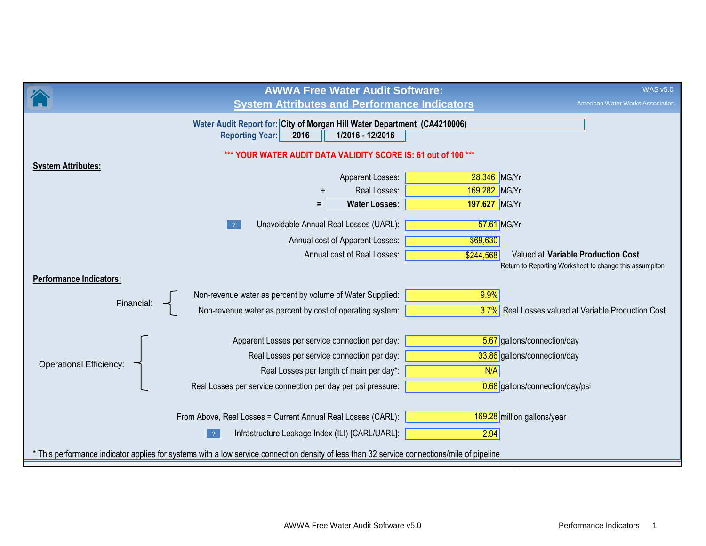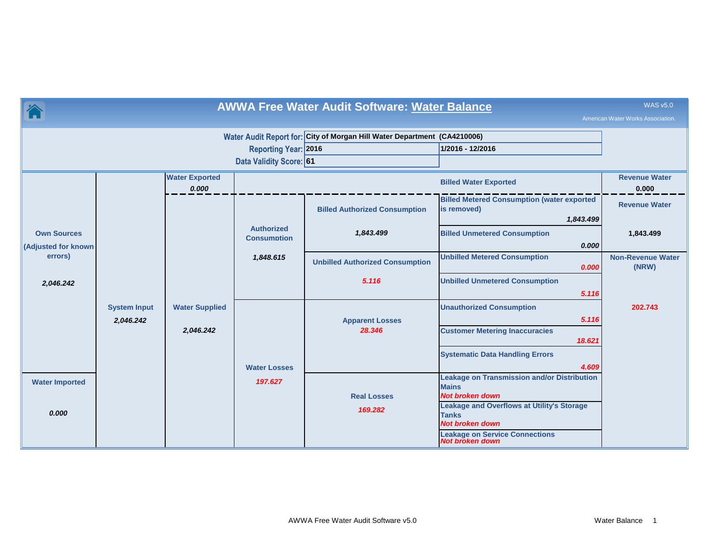|                                                                |                                  |                       |                                                        | <b>AWWA Free Water Audit Software: Water Balance</b>                     |                                                                                              | <b>WAS v5.0</b><br>American Water Works Association. |  |  |  |
|----------------------------------------------------------------|----------------------------------|-----------------------|--------------------------------------------------------|--------------------------------------------------------------------------|----------------------------------------------------------------------------------------------|------------------------------------------------------|--|--|--|
|                                                                |                                  |                       | <b>Reporting Year: 2016</b><br>Data Validity Score: 61 | Water Audit Report for: City of Morgan Hill Water Department (CA4210006) | 1/2016 - 12/2016                                                                             |                                                      |  |  |  |
| <b>Water Exported</b><br><b>Billed Water Exported</b><br>0.000 |                                  |                       |                                                        |                                                                          |                                                                                              |                                                      |  |  |  |
|                                                                |                                  |                       |                                                        | <b>Billed Authorized Consumption</b>                                     | <b>Billed Metered Consumption (water exported</b><br>is removed)<br>1,843.499                | <b>Revenue Water</b>                                 |  |  |  |
| <b>Own Sources</b><br><b>Adjusted for known</b>                |                                  |                       | <b>Authorized</b><br><b>Consumption</b>                | 1,843.499                                                                | <b>Billed Unmetered Consumption</b><br>0.000                                                 | 1,843.499                                            |  |  |  |
|                                                                | errors)                          |                       | 1,848.615                                              | <b>Unbilled Authorized Consumption</b>                                   | <b>Unbilled Metered Consumption</b><br>0.000                                                 | <b>Non-Revenue Water</b><br>(NRW)                    |  |  |  |
| 2,046.242                                                      |                                  |                       |                                                        | 5.116                                                                    | <b>Unbilled Unmetered Consumption</b><br>5.116                                               |                                                      |  |  |  |
|                                                                | <b>System Input</b><br>2,046.242 | <b>Water Supplied</b> |                                                        | <b>Apparent Losses</b>                                                   | <b>Unauthorized Consumption</b><br>5.116                                                     | 202.743                                              |  |  |  |
|                                                                |                                  | 2,046.242             |                                                        | 28.346                                                                   | <b>Customer Metering Inaccuracies</b><br>18.621                                              |                                                      |  |  |  |
|                                                                |                                  |                       | <b>Water Losses</b>                                    |                                                                          | <b>Systematic Data Handling Errors</b><br>4.609                                              |                                                      |  |  |  |
| <b>Water Imported</b>                                          |                                  |                       | 197.627                                                |                                                                          | <b>Leakage on Transmission and/or Distribution</b><br><b>Mains</b><br><b>Not broken down</b> |                                                      |  |  |  |
| 0.000                                                          |                                  |                       |                                                        | <b>Real Losses</b><br>169.282                                            | <b>Leakage and Overflows at Utility's Storage</b><br><b>Tanks</b><br><b>Not broken down</b>  |                                                      |  |  |  |
|                                                                |                                  |                       |                                                        |                                                                          | <b>Leakage on Service Connections</b><br>Not broken down                                     |                                                      |  |  |  |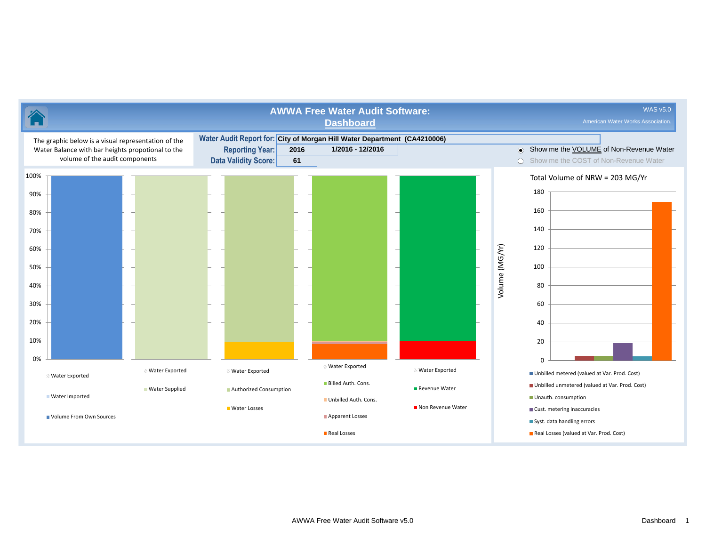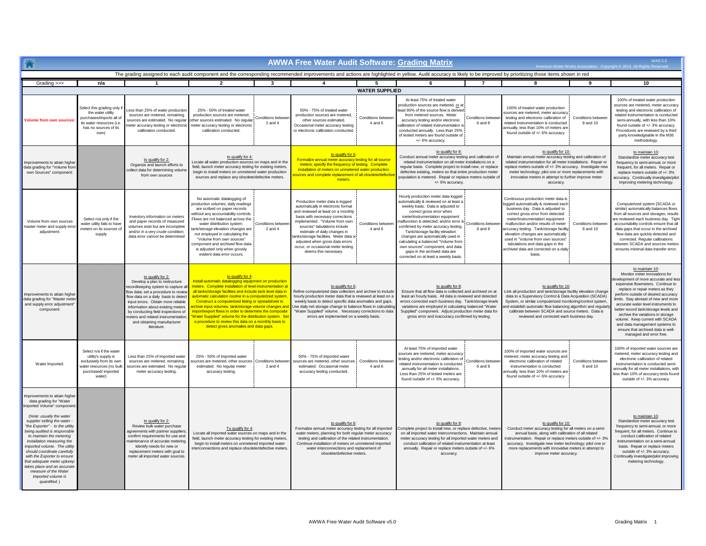|                                                                                                                                                                                                                                                                                                                                                                                                                                                                                                     |                                                                                                                                         |                                                                                                                                                                                                                                                                                                                                                                              |                                                                                                                                                                                                                                                                                                                                                                                                                     |                                                                                                                                                                                                                                                                                                                                                                                                                                                                                                                                                                                  | <b>AWWA Free Water Audit Software: Grading Matrix</b>                                                                                                                                                                                                                                                                                                                                        |                                                                                                                                                                                                                                                                                                                                                                                   |                                                                                                                                                                                                                                                                                                                                                                                                                                                                                                    |                                                                                                                                                                                                                                                                                                                                                         |                                                                                                                                                                                                                                                                                                                                                                                                                                                |                                | <b>WAS50</b>                                                                                                                                                                                                                                                                                                                                                                                                                                                                                                |
|-----------------------------------------------------------------------------------------------------------------------------------------------------------------------------------------------------------------------------------------------------------------------------------------------------------------------------------------------------------------------------------------------------------------------------------------------------------------------------------------------------|-----------------------------------------------------------------------------------------------------------------------------------------|------------------------------------------------------------------------------------------------------------------------------------------------------------------------------------------------------------------------------------------------------------------------------------------------------------------------------------------------------------------------------|---------------------------------------------------------------------------------------------------------------------------------------------------------------------------------------------------------------------------------------------------------------------------------------------------------------------------------------------------------------------------------------------------------------------|----------------------------------------------------------------------------------------------------------------------------------------------------------------------------------------------------------------------------------------------------------------------------------------------------------------------------------------------------------------------------------------------------------------------------------------------------------------------------------------------------------------------------------------------------------------------------------|----------------------------------------------------------------------------------------------------------------------------------------------------------------------------------------------------------------------------------------------------------------------------------------------------------------------------------------------------------------------------------------------|-----------------------------------------------------------------------------------------------------------------------------------------------------------------------------------------------------------------------------------------------------------------------------------------------------------------------------------------------------------------------------------|----------------------------------------------------------------------------------------------------------------------------------------------------------------------------------------------------------------------------------------------------------------------------------------------------------------------------------------------------------------------------------------------------------------------------------------------------------------------------------------------------|---------------------------------------------------------------------------------------------------------------------------------------------------------------------------------------------------------------------------------------------------------------------------------------------------------------------------------------------------------|------------------------------------------------------------------------------------------------------------------------------------------------------------------------------------------------------------------------------------------------------------------------------------------------------------------------------------------------------------------------------------------------------------------------------------------------|--------------------------------|-------------------------------------------------------------------------------------------------------------------------------------------------------------------------------------------------------------------------------------------------------------------------------------------------------------------------------------------------------------------------------------------------------------------------------------------------------------------------------------------------------------|
|                                                                                                                                                                                                                                                                                                                                                                                                                                                                                                     |                                                                                                                                         |                                                                                                                                                                                                                                                                                                                                                                              | The grading assigned to each audit component and the corresponding recommended improvements and actions are highlighted in yellow. Audit accuracy is likely to be improved by prioritizing those items shown in red                                                                                                                                                                                                 |                                                                                                                                                                                                                                                                                                                                                                                                                                                                                                                                                                                  |                                                                                                                                                                                                                                                                                                                                                                                              |                                                                                                                                                                                                                                                                                                                                                                                   |                                                                                                                                                                                                                                                                                                                                                                                                                                                                                                    |                                                                                                                                                                                                                                                                                                                                                         |                                                                                                                                                                                                                                                                                                                                                                                                                                                |                                | American Water Works Association. Copyright @ 2014, All Rights Reserved                                                                                                                                                                                                                                                                                                                                                                                                                                     |
| Grading >>>                                                                                                                                                                                                                                                                                                                                                                                                                                                                                         | n/a                                                                                                                                     | $\overline{1}$                                                                                                                                                                                                                                                                                                                                                               | $\overline{2}$                                                                                                                                                                                                                                                                                                                                                                                                      | $\mathbf{3}$                                                                                                                                                                                                                                                                                                                                                                                                                                                                                                                                                                     | $\overline{4}$                                                                                                                                                                                                                                                                                                                                                                               | -5                                                                                                                                                                                                                                                                                                                                                                                | 6                                                                                                                                                                                                                                                                                                                                                                                                                                                                                                  | $\overline{7}$                                                                                                                                                                                                                                                                                                                                          | 8                                                                                                                                                                                                                                                                                                                                                                                                                                              | $\mathbf{q}$                   | 10                                                                                                                                                                                                                                                                                                                                                                                                                                                                                                          |
|                                                                                                                                                                                                                                                                                                                                                                                                                                                                                                     |                                                                                                                                         |                                                                                                                                                                                                                                                                                                                                                                              |                                                                                                                                                                                                                                                                                                                                                                                                                     |                                                                                                                                                                                                                                                                                                                                                                                                                                                                                                                                                                                  |                                                                                                                                                                                                                                                                                                                                                                                              | <b>WATER SUPPLIED</b>                                                                                                                                                                                                                                                                                                                                                             |                                                                                                                                                                                                                                                                                                                                                                                                                                                                                                    |                                                                                                                                                                                                                                                                                                                                                         |                                                                                                                                                                                                                                                                                                                                                                                                                                                |                                |                                                                                                                                                                                                                                                                                                                                                                                                                                                                                                             |
| <b>Volume from own sources</b>                                                                                                                                                                                                                                                                                                                                                                                                                                                                      | Select this grading only<br>the water utility<br>purchases/imports all of<br>its water resources (i.e.<br>has no sources of its<br>own) | ess than 25% of water production<br>sources are metered, remaining<br>sources are estimated. No regular<br>eter accuracy testing or electronic<br>calibration conducted.                                                                                                                                                                                                     | 25% - 50% of treated water<br>production sources are metered;<br>other sources estimated. No regular<br>meter accuracy testing or electronic<br>calibration conducted.                                                                                                                                                                                                                                              | Conditions betwee<br>$2$ and $4$                                                                                                                                                                                                                                                                                                                                                                                                                                                                                                                                                 | 50% - 75% of treated water<br>production sources are metered,<br>other sources estimated.<br>Occasional meter accuracy testing<br>or electronic calibration conducted.                                                                                                                                                                                                                       | Conditions between<br>$4$ and $6$                                                                                                                                                                                                                                                                                                                                                 | At least 75% of treated water<br>production sources are metered, or at<br>east 90% of the source flow is derived<br>from metered sources. Meter<br>accuracy testing and/or electronic<br>calibration of related instrumentation is<br>conducted annually. Less than 25%<br>of tested meters are found outside of<br>+/- 6% accuracy.                                                                                                                                                               | Conditions betw<br>6 and 8                                                                                                                                                                                                                                                                                                                              | 100% of treated water production<br>sources are metered, meter accuract<br>testing and electronic calibration of<br>related instrumentation is conducted<br>annually, less than 10% of meters are<br>found outside of +/- 6% accuracy                                                                                                                                                                                                          | Conditions between<br>8 and 10 | 100% of treated water production<br>sources are metered, meter accuracy<br>testing and electronic calibration of<br>related instrumentation is conducted<br>semi-annually, with less than 10%<br>found outside of +/- 3% accuracy.<br>Procedures are reviewed by a third<br>party knowledgeable in the M36<br>methodology.                                                                                                                                                                                  |
| Improvements to attain higher<br>data grading for "Volume from<br>own Sources" component:                                                                                                                                                                                                                                                                                                                                                                                                           |                                                                                                                                         | to qualify for 2:<br>Organize and launch efforts to<br>collect data for determining volume<br>from own sources                                                                                                                                                                                                                                                               | to qualify for 4:<br>Locate all water production sources on maps and in the<br>field, launch meter accuracy testing for existing meters,<br>begin to install meters on unmetered water production<br>sources and replace any obsolete/defective meters.                                                                                                                                                             |                                                                                                                                                                                                                                                                                                                                                                                                                                                                                                                                                                                  | to qualify for 6:<br>Formalize annual meter accuracy testing for all source<br>meters; specify the frequency of testing. Complete<br>installation of meters on unmetered water production<br>urces and complete replacement of all obsolete/defectiv<br>meters.                                                                                                                              |                                                                                                                                                                                                                                                                                                                                                                                   | to qualify for 8:<br>Conduct annual meter accuracy testing and calibration o<br>related instrumentation on all meter installations on a<br>regular basis. Complete project to install new, or replace<br>defective existing, meters so that entire production meter<br>population is metered. Repair or replace meters outside o<br>$+/-$ 6% accuracy.                                                                                                                                             |                                                                                                                                                                                                                                                                                                                                                         | to qualify for 10:<br>Maintain annual meter accuracy testing and calibration of<br>related instrumentation for all meter installations. Repair or<br>replace meters outside of +/-3% accuracy. Investigate new<br>meter technology; pilot one or more replacements with<br>innovative meters in attempt to further improve meter<br>accuracy.                                                                                                  |                                | to maintain 10:<br>Standardize meter accuracy test<br>frequency to semi-annual, or more<br>frequent, for all meters. Repair or<br>replace meters outside of +/- 3%<br>accuracy. Continually investigate/pilot<br>improving metering technology.                                                                                                                                                                                                                                                             |
| Volume from own sources<br>naster meter and supply error<br>adiustment:                                                                                                                                                                                                                                                                                                                                                                                                                             | Select n/a only if the<br>water utility fails to have<br>meters on its sources of<br>supply                                             | Inventory information on meters<br>and paper records of measured<br>volumes exist but are incomplete<br>and/or in a very crude condition:<br>data error cannot be determined                                                                                                                                                                                                 | No automatic datalogging of<br>production volumes: daily readings<br>are scribed on paper records<br>vithout any accountability controls<br>Flows are not balanced across the<br>water distribution system:<br>ank/storage elevation changes are<br>not employed in calculating the<br>"Volume from own sources"<br>component and archived flow data<br>is adjusted only when grossly<br>evident data error occurs. | Conditions betwee<br>2 and 4                                                                                                                                                                                                                                                                                                                                                                                                                                                                                                                                                     | Production meter data is logged<br>automatically in electronic format<br>and reviewed at least on a monthly<br>basis with necessary corrections<br>implemented. "Volume from own<br>sources" tabulations include<br>estimate of daily changes in<br>anks/storage facilities. Meter data is<br>adjusted when gross data errors<br>occur, or occasional meter testing<br>deems this necessary. | Conditions between<br>4 and 6                                                                                                                                                                                                                                                                                                                                                     | Hourly production meter data logged<br>automatically & reviewed on at least a<br>weekly basis. Data is adiusted to<br>correct gross error when<br>meter/instrumentation equipment<br>nalfunction is detected; and/or error is<br>confirmed by meter accuracy testing.<br>Tank/storage facility elevation<br>changes are automatically used in<br>calculating a balanced "Volume from<br>own sources" component, and data<br>gaps in the archived data are<br>corrected on at least a weekly basis. | Conditions betwe<br>6 and 8                                                                                                                                                                                                                                                                                                                             | Continuous production meter data is<br>logged automatically & reviewed each<br>business day. Data is adjusted to<br>correct gross error from detected<br>meter/instrumentation equipment<br>malfunction and/or results of meter<br>accuracy testing. Tank/storage facility<br>elevation changes are automatically<br>used in "Volume from own sources"<br>tabulations and data gaps in the<br>archived data are corrected on a daily<br>basis. | Conditions between<br>8 and 10 | Computerized system (SCADA or<br>similar) automatically balances flows<br>from all sources and storages; results<br>are reviewed each business day. Tight<br>accountability controls ensure that all<br>data gaps that occur in the archived<br>flow data are quickly detected and<br>corrected. Regular calibrations<br>between SCADA and sources meters<br>ensures minimal data transfer error.                                                                                                           |
| Improvements to attain higher<br>data grading for "Master meter<br>and supply error adjustment'<br>component                                                                                                                                                                                                                                                                                                                                                                                        |                                                                                                                                         | to qualify for 2:<br>Develop a plan to restructure<br>ecordkeeping system to capture all<br>flow data: set a procedure to review<br>flow data on a daily basis to detect<br>input errors. Obtain more reliable<br>information about existing meters<br>by conducting field inspections of<br>neters and related instrumentation<br>and obtaining manufacturer<br>literature. | to qualify for 4:                                                                                                                                                                                                                                                                                                                                                                                                   | Install automatic datalogging equipment on production<br>neters. Complete installation of level instrumentation at<br>all tanks/storage facilities and include tank level data in<br>utomatic calculation routine in a computerized system<br>Construct a computerized listing or spreadsheet to<br>rchive input volumes, tank/storage volume changes an<br>import/export flows in order to determine the composite<br>Water Supplied" volume for the distribution system. Set<br>a procedure to review this data on a monthly basis to<br>detect gross anomalies and data gaps. |                                                                                                                                                                                                                                                                                                                                                                                              | to qualify for 6:<br>Refine computerized data collection and archive to include<br>hourly production meter data that is reviewed at least on a<br>weekly basis to detect specific data anomalies and gaps.<br>Use daily net storage change to balance flows in calculating<br>"Water Supplied" volume. Necessary corrections to data<br>errors are implemented on a weekly basis. |                                                                                                                                                                                                                                                                                                                                                                                                                                                                                                    | Ensure that all flow data is collected and archived on at<br>least an hourly basis. All data is reviewed and detected<br>errors corrected each business day. Tank/storage levels<br>variations are employed in calculating balanced "Water<br>Supplied" component. Adjust production meter data for<br>gross error and inaccuracy confirmed by testing. | to qualify for 10:<br>Link all production and tank/storage facility elevation change<br>data to a Supervisory Control & Data Acquisition (SCADA)<br>System, or similar computerized monitoring/control system.<br>and establish automatic flow balancing algorithm and regular<br>calibrate between SCADA and source meters. Data is<br>reviewed and corrected each business day.                                                              |                                | to maintain 10:<br>Monitor meter innovations for<br>evelopment of more accurate and less<br>expensive flowmeters. Continue to<br>replace or repair meters as they<br>perform outside of desired accuracy<br>limits. Stay abreast of new and more<br>accurate water level instruments to<br>better record tank/storage levels and<br>archive the variations in storage<br>volume. Keep current with SCADA<br>and data management systems to<br>ensure that archived data is well-<br>managed and error free. |
| Water Imported                                                                                                                                                                                                                                                                                                                                                                                                                                                                                      | Select n/a if the water<br>utility's supply is<br>exclusively from its own<br>water resources (no bull<br>purchased/imported<br>water)  | Less than 25% of imported water<br>sources are metered, remaining<br>sources are estimated. No regular<br>meter accuracy testing                                                                                                                                                                                                                                             | 25% - 50% of imported water<br>ources are metered; other sources<br>estimated. No regular meter<br>accuracy testing.                                                                                                                                                                                                                                                                                                | Conditions betwee<br>$2$ and $4$                                                                                                                                                                                                                                                                                                                                                                                                                                                                                                                                                 | 50% - 75% of imported water<br>ources are metered, other sources<br>estimated. Occasional meter<br>accuracy testing conducted.                                                                                                                                                                                                                                                               | Conditions between<br>$4$ and $6$                                                                                                                                                                                                                                                                                                                                                 | At least 75% of imported water<br>sources are metered, meter accuracy<br>testing and/or electronic calibration of<br>related instrumentation is conducted<br>annually for all meter installations.<br>Less than 25% of tested meters are<br>found outside of +/- 6% accuracy.                                                                                                                                                                                                                      | Conditions betwee<br>6 and 8                                                                                                                                                                                                                                                                                                                            | 100% of imported water sources are<br>metered, meter accuracy testing and<br>electronic calibration of related<br>instrumentation is conducted<br>annually, less than 10% of meters are<br>found outside of +/- 6% accuracy                                                                                                                                                                                                                    | Conditions between<br>8 and 10 | 100% of imported water sources are<br>metered, meter accuracy testing and<br>electronic calibration of related<br>instrumentation is conducted semi-<br>annually for all meter installations, with<br>less than 10% of accuracy tests found<br>outside of +/- 3% accuracy.                                                                                                                                                                                                                                  |
| mprovements to attain higher<br>data grading for "Water<br>ported Volume" component<br>(Note: usually the water<br>supplier selling the water<br>"the Exporter" - to the utility<br>being audited is responsible<br>to maintain the metering<br>installation measuring the<br>imported volume. The utility<br>should coordinate carefully<br>with the Exporter to ensure<br>that adequate meter upkeet<br>takes place and an accurate<br>measure of the Water<br>Imported volume is<br>quantified.) |                                                                                                                                         | to qualify for 2:<br>Review bulk water purchase<br>agreements with partner suppliers;<br>confirm requirements for use and<br>naintenance of accurate metering<br>Identify needs for new or<br>replacement meters with goal to<br>meter all imported water sources.                                                                                                           | To qualify for 4:<br>Locate all imported water sources on maps and in the<br>field, launch meter accuracy testing for existing meters<br>begin to install meters on unmetered imported water<br>nterconnections and replace obsolete/defective meters                                                                                                                                                               |                                                                                                                                                                                                                                                                                                                                                                                                                                                                                                                                                                                  | to qualify for 6:<br>Formalize annual meter accuracy testing for all imported<br>water meters, planning for both regular meter accuracy<br>testing and calibration of the related instrumentation.<br>Continue installation of meters on unmetered imported<br>water interconnections and replacement of<br>obsolete/defective meters.                                                       |                                                                                                                                                                                                                                                                                                                                                                                   | to qualify for 8:<br>Complete project to install new, or replace defective, mete<br>on all imported water interconnections. Maintain annual<br>meter accuracy testing for all imported water meters and<br>conduct calibration of related instrumentation at least<br>annually. Repair or replace meters outside of +/- 6%<br>accuracy.                                                                                                                                                            |                                                                                                                                                                                                                                                                                                                                                         | to qualify for 10:<br>Conduct meter accuracy testing for all meters on a semi-<br>annual basis, along with calibration of all related<br>instrumentation. Repair or replace meters outside of +/- 3%<br>accuracy. Investigate new meter technology: pilot one or<br>more replacements with innovative meters in attempt to<br>improve meter accuracy.                                                                                          |                                | to maintain 10:<br>Standardize meter accuracy test<br>frequency to semi-annual, or more<br>frequent, for all meters. Continue to<br>conduct calibration of related<br>instrumentation on a semi-annual<br>basis. Repair or replace meters<br>outside of +/- 3% accuracy.<br>Continually investigate/pilot improving<br>metering technology.                                                                                                                                                                 |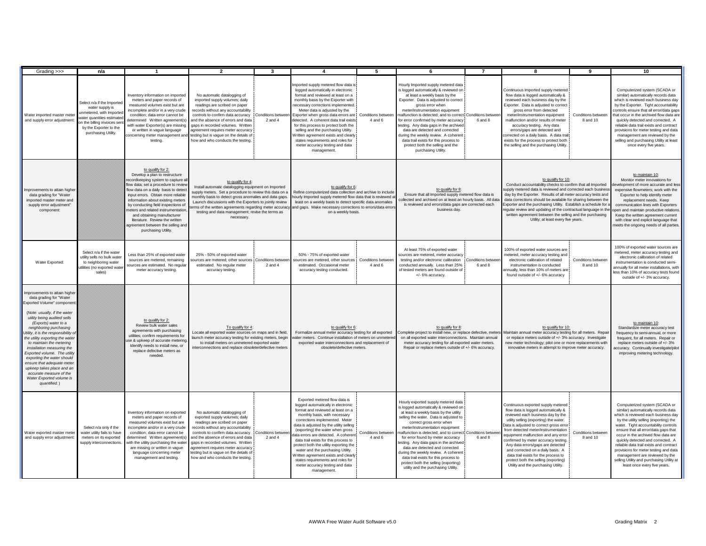| Grading >>>                                                                                                                                                                                                                                                                                                                                                                                                                                                                                                                                | n/a                                                                                                                                                                                    | $\mathbf{1}$                                                                                                                                                                                                                                                                                                                                                                                                                                                | $\overline{2}$                                                                                                                                                                                                                                                                                                                                                                                                            | $\mathbf{3}$                   |                                                                                                                                                                                                                                                                                                                                                                                                                                                                                                                                                           | 5                             | 6                                                                                                                                                                                                                                                                                                                                                                                                                                                                                                                                                                            | $\overline{7}$               | 8                                                                                                                                                                                                                                                                                                                                                                                                                                                                                                                          | $\mathbf{Q}$                   | 10                                                                                                                                                                                                                                                                                                                                                                                                                                                                                                                   |
|--------------------------------------------------------------------------------------------------------------------------------------------------------------------------------------------------------------------------------------------------------------------------------------------------------------------------------------------------------------------------------------------------------------------------------------------------------------------------------------------------------------------------------------------|----------------------------------------------------------------------------------------------------------------------------------------------------------------------------------------|-------------------------------------------------------------------------------------------------------------------------------------------------------------------------------------------------------------------------------------------------------------------------------------------------------------------------------------------------------------------------------------------------------------------------------------------------------------|---------------------------------------------------------------------------------------------------------------------------------------------------------------------------------------------------------------------------------------------------------------------------------------------------------------------------------------------------------------------------------------------------------------------------|--------------------------------|-----------------------------------------------------------------------------------------------------------------------------------------------------------------------------------------------------------------------------------------------------------------------------------------------------------------------------------------------------------------------------------------------------------------------------------------------------------------------------------------------------------------------------------------------------------|-------------------------------|------------------------------------------------------------------------------------------------------------------------------------------------------------------------------------------------------------------------------------------------------------------------------------------------------------------------------------------------------------------------------------------------------------------------------------------------------------------------------------------------------------------------------------------------------------------------------|------------------------------|----------------------------------------------------------------------------------------------------------------------------------------------------------------------------------------------------------------------------------------------------------------------------------------------------------------------------------------------------------------------------------------------------------------------------------------------------------------------------------------------------------------------------|--------------------------------|----------------------------------------------------------------------------------------------------------------------------------------------------------------------------------------------------------------------------------------------------------------------------------------------------------------------------------------------------------------------------------------------------------------------------------------------------------------------------------------------------------------------|
| Water imported master mete<br>and supply error adjustment                                                                                                                                                                                                                                                                                                                                                                                                                                                                                  | Select n/a if the Importer<br>water supply is<br>inmetered, with Imported<br>vater quantities estimate<br>on the billing invoices sen<br>by the Exporter to the<br>purchasing Utility. | nventory information on imported<br>meters and paper records of<br>measured volumes exist but are<br>incomplete and/or in a very crude<br>condition; data error cannot be<br>letermined Written agreement(s)<br>with water Exporter(s) are missing<br>or written in vague language<br>testing.                                                                                                                                                              | No automatic datalogging of<br>imported supply volumes; daily<br>readings are scribed on paper<br>records without any accountability<br>controls to confirm data accuracy Conditions betwe<br>and the absence of errors and data<br>gaps in recorded volumes. Writter<br>agreement requires meter accuracy<br>concerning meter management and testing but is vague on the details of<br>how and who conducts the testing. | $2$ and $4$                    | mported supply metered flow data is<br>logged automatically in electronic<br>format and reviewed at least on a<br>monthly basis by the Exporter with<br>necessary corrections implemented.<br>Meter data is adjusted by the<br>Exporter when gross data errors are Conditions between<br>detected. A coherent data trail exists<br>for this process to protect both the<br>selling and the purchasing Utility.<br>Written agreement exists and clearly<br>states requirements and roles for<br>meter accuracy testing and data<br>management.             | 4 and 6                       | Hourly Imported supply metered data<br>is logged automatically & reviewed on<br>at least a weekly basis by the<br>Exporter. Data is adjusted to correct<br>gross error when<br>meter/instrumentation equipment<br>nalfunction is detected; and to correct Conditions betwee<br>or error confirmed by meter accuracy<br>esting. Any data gaps in the archived<br>data are detected and corrected<br>during the weekly review. A coherent<br>data trail exists for this process to<br>protect both the selling and the<br>purchasing Utility.                                  | 6 and 8                      | Continuous Imported supply metered<br>flow data is logged automatically &<br>reviewed each business day by the<br>Exporter. Data is adiusted to correct<br>gross error from detected<br>meter/instrumentation equipment<br>malfunction and/or results of meter<br>accuracy testing. Any data<br>errors/gaps are detected and<br>corrected on a daily basis. A data trail<br>exists for the process to protect both<br>the selling and the purchasing Utility.                                                              | Conditions betwee<br>8 and 10  | Computerized system (SCADA or<br>similar) automatically records data<br>which is reviewed each business day<br>by the Exporter. Tight accountability<br>controls ensure that all error/data gaps<br>that occur in the archived flow data are<br>quickly detected and corrected. A<br>reliable data trail exists and contract<br>provisions for meter testing and data<br>management are reviewed by the<br>selling and purchasing Utility at least<br>once every five years.                                         |
| Improvements to attain higher<br>data grading for "Water<br>imported master meter and<br>supply error adjustment"<br>component:                                                                                                                                                                                                                                                                                                                                                                                                            |                                                                                                                                                                                        | to qualify for 2:<br>Develop a plan to restructure<br>ecordkeeping system to capture all<br>flow data; set a procedure to review<br>flow data on a daily basis to detect<br>input errors. Obtain more reliable<br>information about existing meters<br>by conducting field inspections of<br>meters and related instrumentation<br>and obtaining manufacturer<br>literature. Review the written<br>agreement between the selling and<br>purchasing Utility. | to qualify for 4:<br>Install automatic datalogging equipment on Imported<br>supply meters. Set a procedure to review this data on a<br>monthly basis to detect gross anomalies and data gaps.<br>Launch discussions with the Exporters to jointly review<br>ms of the written agreements regarding meter accuract<br>testing and data management; revise the terms as<br>necessary.                                       |                                | to qualify for 6:<br>Refine computerized data collection and archive to include<br>hourly Imported supply metered flow data that is reviewed a<br>least on a weekly basis to detect specific data anomalies<br>and gaps. Make necessary corrections to errors/data error<br>on a weekly basis.                                                                                                                                                                                                                                                            |                               | to qualify for 8:<br>Ensure that all Imported supply metered flow data is<br>collected and archived on at least an hourly basis. All data<br>is reviewed and errors/data gaps are corrected each<br>business day.                                                                                                                                                                                                                                                                                                                                                            |                              | to qualify for 10:<br>Conduct accountability checks to confirm that all Imported<br>supply metered data is reviewed and corrected each business<br>day by the Exporter. Results of all meter accuracy tests and<br>data corrections should be available for sharing between the<br>Exporter and the purchasing Utility. Establish a schedule for a<br>regular review and updating of the contractual language in the<br>written agreement between the selling and the purchasing<br>Utility; at least every five years.    |                                | to maintain 10:<br>Monitor meter innovations for<br>velopment of more accurate and less<br>expensive flowmeters; work with the<br>Exporter to help identify meter<br>replacement needs. Keep<br>communication lines with Exporters<br>pen and maintain productive relations<br>Keep the written agreement current<br>with clear and explicit language that<br>neets the ongoing needs of all parties                                                                                                                 |
| Water Exported:                                                                                                                                                                                                                                                                                                                                                                                                                                                                                                                            | Select n/a if the water<br>utility sells no bulk wate<br>to neighboring water<br>tilities (no exported wate<br>sales)                                                                  | Less than 25% of exported water<br>sources are metered, remaining<br>sources are estimated. No regula<br>meter accuracy testing.                                                                                                                                                                                                                                                                                                                            | 25% - 50% of exported water<br>sources are metered: other sources<br>estimated. No regular meter<br>accuracy testing.                                                                                                                                                                                                                                                                                                     | Conditions bety<br>$2$ and $4$ | 50% - 75% of exported water<br>ources are metered, other sources<br>estimated. Occasional meter<br>accuracy testing conducted.                                                                                                                                                                                                                                                                                                                                                                                                                            | Conditions betwee<br>4 and 6  | At least 75% of exported water<br>sources are metered, meter accuracy<br>testing and/or electronic calibration<br>conducted annually. Less than 25%<br>of tested meters are found outside of<br>+/- 6% accuracy.                                                                                                                                                                                                                                                                                                                                                             | Conditions betwee<br>6 and 8 | 100% of exported water sources are<br>metered, meter accuracy testing and<br>electronic calibration of related<br>instrumentation is conducted<br>annually, less than 10% of meters are<br>found outside of +/- 6% accuracy                                                                                                                                                                                                                                                                                                | Conditions between<br>8 and 10 | 100% of exported water sources are<br>metered, meter accuracy testing and<br>electronic calibration of related<br>instrumentation is conducted semi-<br>annually for all meter installations, with<br>less than 10% of accuracy tests found<br>outside of +/- 3% accuracy.                                                                                                                                                                                                                                           |
| Improvements to attain higher<br>data grading for "Water<br>xported Volume" componer<br>(Note: usually, if the water<br>utility being audited sells<br>(Exports) water to a<br>neighboring purchasing<br>Utility, it is the responsibility of<br>the utility exporting the water<br>to maintain the metering<br>installation measuring the<br>Exported volume. The utility<br>exporting the water should<br>ensure that adequate meter<br>upkeep takes place and an<br>accurate measure of the<br>Water Exported volume is<br>quantified.) |                                                                                                                                                                                        | to qualify for 2:<br>Review bulk water sales<br>agreements with purchasing<br>utilities; confirm requirements for<br>use & upkeep of accurate metering<br>Identify needs to install new, or<br>replace defective meters as<br>needed.                                                                                                                                                                                                                       | To qualify for 4:<br>Locate all exported water sources on maps and in field,<br>launch meter accuracy testing for existing meters, begin<br>to install meters on unmetered exported water<br>interconnections and replace obsolete/defective meters                                                                                                                                                                       |                                | to qualify for 6:<br>Formalize annual meter accuracy testing for all exported<br>vater meters. Continue installation of meters on unmetered<br>exported water interconnections and replacement of<br>obsolete/defective meters.                                                                                                                                                                                                                                                                                                                           |                               | to qualify for 8:<br>Complete project to install new, or replace defective, meter<br>on all exported water interconnections. Maintain annua<br>meter accuracy testing for all exported water meters.<br>Repair or replace meters outside of +/- 6% accuracy.                                                                                                                                                                                                                                                                                                                 |                              | to qualify for 10:<br>Maintain annual meter accuracy testing for all meters. Repair<br>or replace meters outside of +/- 3% accuracy. Investigate<br>new meter technology; pilot one or more replacements with<br>innovative meters in attempt to improve meter accuracy.                                                                                                                                                                                                                                                   |                                | to maintain 10:<br>Standardize meter accuracy test<br>frequency to semi-annual, or more<br>frequent, for all meters. Repair or<br>replace meters outside of +/- 3%<br>ccuracy. Continually investigate/pilot<br>improving metering technology.                                                                                                                                                                                                                                                                       |
| Water exported master mete<br>and supply error adjustment:                                                                                                                                                                                                                                                                                                                                                                                                                                                                                 | Select n/a only if the<br>water utility fails to have<br>meters on its exported<br>supply interconnections                                                                             | nventory information on exported<br>meters and paper records of<br>measured volumes exist but are<br>incomplete and/or in a very crude<br>condition; data error cannot be<br>determined Written agreement(s)<br>with the utility purchasing the water<br>are missing or written in vague<br>language concerning meter<br>management and testing.                                                                                                            | No automatic datalogging of<br>exported supply volumes; daily<br>readings are scribed on paper<br>records without any accountability<br>controls to confirm data accuracy   Conditions betwe<br>and the absence of errors and data<br>gaps in recorded volumes. Written<br>agreement requires meter accuracy<br>testing but is vague on the details of<br>how and who conducts the testing.                               | 2 and 4                        | Exported metered flow data is<br>logged automatically in electronic<br>format and reviewed at least on a<br>monthly basis, with necessary<br>corrections implemented. Meter<br>data is adjusted by the utility selling<br>(exporting) the water when gross<br>data errors are detected. A coherent<br>data trail exists for this process to<br>protect both the utility exporting the<br>water and the purchasing Utility.<br>Written agreement exists and clearly<br>states requirements and roles for<br>meter accuracy testing and data<br>management. | Conditions between<br>4 and 6 | Hourly exported supply metered data<br>is logged automatically & reviewed on<br>at least a weekly basis by the utility<br>selling the water. Data is adjusted to<br>correct gross error when<br>meter/instrumentation equipment<br>nalfunction is detected; and to correct Conditions betwe<br>for error found by meter accuracy<br>esting. Any data gaps in the archived<br>data are detected and corrected<br>during the weekly review. A coherent<br>data trail exists for this process to<br>protect both the selling (exporting)<br>utility and the purchasing Utility. | 6 and 8                      | Continuous exported supply metered<br>flow data is logged automatically &<br>reviewed each business day by the<br>utility selling (exporting) the water.<br>Data is adjusted to correct gross error<br>from detected meter/instrumentation<br>equipment malfunction and any error<br>confirmed by meter accuracy testing.<br>Any data errors/gaps are detected<br>and corrected on a daily basis. A<br>data trail exists for the process to<br>protect both the selling (exporting)<br>Utility and the purchasing Utility. | Conditions betweer<br>8 and 10 | Computerized system (SCADA or<br>similar) automatically records data<br>which is reviewed each business day<br>by the utility selling (exporting) the<br>water. Tight accountability controls<br>ensure that all error/data gaps that<br>occur in the archived flow data are<br>quickly detected and corrected. A<br>reliable data trail exists and contract<br>provisions for meter testing and data<br>management are reviewed by the<br>selling Utility and purchasing Utility at<br>least once every five years. |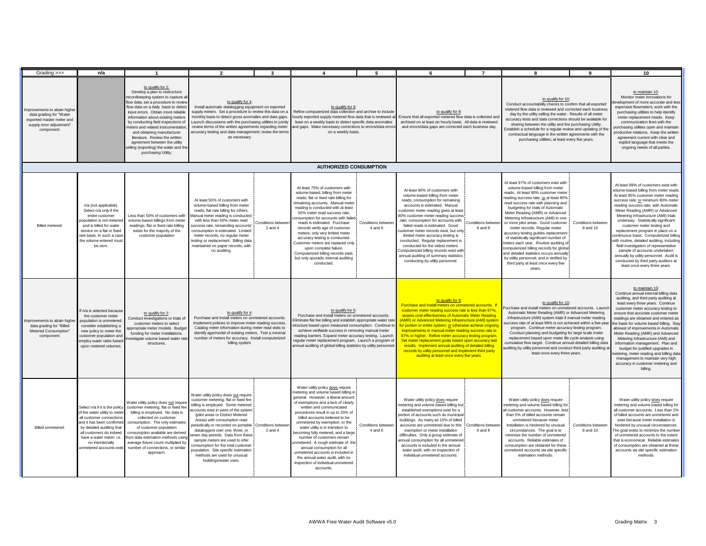| Grading >>>                                                                                                                    | n/a                                                                                                                                                                                                                                                         |                                                                                                                                                                                                                                                                                                                                                                                                                                                                                                  | $\mathbf{\cdot}$                                                                                                                                                                                                                                                                                                                                                                                                                                                                                                        | ર                                                                                                                                                                                                                                                                                 |                                                                                                                                                                                                                                                                                                                                                                                                                                                                                                                                                                                                      | 5                                                                                                                                                                                                                                                                                                                                                                                                                                                     |                                                                                                                                                                                                                                                                                                                                                                                                                                                                                                                                                                                                                                                              | $\overline{7}$                                                                                                                                                                     |                                                                                                                                                                                                                                                                                                                                                                                                                                                                                                                                                                                                                                                                                                   |                                                                                                                                                                                                                                                                                                                                                                                                                                                                                                                       | 10                                                                                                                                                                                                                                                                                                                                                                                                                                                                                                                                                                                                                                                                           |
|--------------------------------------------------------------------------------------------------------------------------------|-------------------------------------------------------------------------------------------------------------------------------------------------------------------------------------------------------------------------------------------------------------|--------------------------------------------------------------------------------------------------------------------------------------------------------------------------------------------------------------------------------------------------------------------------------------------------------------------------------------------------------------------------------------------------------------------------------------------------------------------------------------------------|-------------------------------------------------------------------------------------------------------------------------------------------------------------------------------------------------------------------------------------------------------------------------------------------------------------------------------------------------------------------------------------------------------------------------------------------------------------------------------------------------------------------------|-----------------------------------------------------------------------------------------------------------------------------------------------------------------------------------------------------------------------------------------------------------------------------------|------------------------------------------------------------------------------------------------------------------------------------------------------------------------------------------------------------------------------------------------------------------------------------------------------------------------------------------------------------------------------------------------------------------------------------------------------------------------------------------------------------------------------------------------------------------------------------------------------|-------------------------------------------------------------------------------------------------------------------------------------------------------------------------------------------------------------------------------------------------------------------------------------------------------------------------------------------------------------------------------------------------------------------------------------------------------|--------------------------------------------------------------------------------------------------------------------------------------------------------------------------------------------------------------------------------------------------------------------------------------------------------------------------------------------------------------------------------------------------------------------------------------------------------------------------------------------------------------------------------------------------------------------------------------------------------------------------------------------------------------|------------------------------------------------------------------------------------------------------------------------------------------------------------------------------------|---------------------------------------------------------------------------------------------------------------------------------------------------------------------------------------------------------------------------------------------------------------------------------------------------------------------------------------------------------------------------------------------------------------------------------------------------------------------------------------------------------------------------------------------------------------------------------------------------------------------------------------------------------------------------------------------------|-----------------------------------------------------------------------------------------------------------------------------------------------------------------------------------------------------------------------------------------------------------------------------------------------------------------------------------------------------------------------------------------------------------------------------------------------------------------------------------------------------------------------|------------------------------------------------------------------------------------------------------------------------------------------------------------------------------------------------------------------------------------------------------------------------------------------------------------------------------------------------------------------------------------------------------------------------------------------------------------------------------------------------------------------------------------------------------------------------------------------------------------------------------------------------------------------------------|
| mprovements to attain higher<br>data grading for "Water<br>exported master meter and<br>supply error adjustment"<br>component: |                                                                                                                                                                                                                                                             | to qualify for 2:<br>Develop a plan to restructure<br>ecordkeeping system to capture all<br>flow data; set a procedure to review<br>flow data on a daily basis to detect<br>input errors. Obtain more reliable<br>information about existing meters<br>by conducting field inspections of<br>meters and related instrumentation,<br>and obtaining manufacturer<br>literature. Review the written<br>agreement between the utility<br>elling (exporting) the water and the<br>purchasing Utility. | to qualify for 4:<br>Install automatic datalogging equipment on exported<br>supply meters. Set a procedure to review this data on a<br>monthly basis to detect gross anomalies and data gaps.<br>Launch discussions with the purchasing utilities to jointly<br>review terms of the written agreements regarding meter<br>accuracy testing and data management; revise the term<br>as necessary.                                                                                                                        |                                                                                                                                                                                                                                                                                   | to qualify for 6:<br>Refine computerized data collection and archive to include<br>hourly exported supply metered flow data that is reviewed at<br>least on a weekly basis to detect specific data anomalies<br>and gaps. Make necessary corrections to errors/data error<br>on a weekly basis.                                                                                                                                                                                                                                                                                                      |                                                                                                                                                                                                                                                                                                                                                                                                                                                       | to qualify for 8:                                                                                                                                                                                                                                                                                                                                                                                                                                                                                                                                                                                                                                            | Ensure that all exported metered flow data is collected and<br>archived on at least an hourly basis. All data is reviewed<br>and errors/data gaps are corrected each business day. |                                                                                                                                                                                                                                                                                                                                                                                                                                                                                                                                                                                                                                                                                                   | to qualify for 10:<br>Conduct accountability checks to confirm that all exported<br>metered flow data is reviewed and corrected each business<br>day by the utility selling the water. Results of all meter<br>accuracy tests and data corrections should be available for<br>sharing between the utility and the purchasing Utility.<br>Establish a schedule for a regular review and updating of the<br>contractual language in the written agreements with the<br>purchasing utilities; at least every five years. | to maintain 10:<br>Monitor meter innovations for<br>welopment of more accurate and less<br>expensive flowmeters; work with the<br>purchasing utilities to help identify<br>meter replacement needs. Keep<br>communication lines with the<br>purchasing utilities open and maintain<br>productive relations. Keep the written<br>agreement current with clear and<br>explicit language that meets the<br>ongoing needs of all parties.                                                                                                                                                                                                                                        |
|                                                                                                                                |                                                                                                                                                                                                                                                             |                                                                                                                                                                                                                                                                                                                                                                                                                                                                                                  |                                                                                                                                                                                                                                                                                                                                                                                                                                                                                                                         |                                                                                                                                                                                                                                                                                   | <b>AUTHORIZED CONSUMPTION</b>                                                                                                                                                                                                                                                                                                                                                                                                                                                                                                                                                                        |                                                                                                                                                                                                                                                                                                                                                                                                                                                       |                                                                                                                                                                                                                                                                                                                                                                                                                                                                                                                                                                                                                                                              |                                                                                                                                                                                    |                                                                                                                                                                                                                                                                                                                                                                                                                                                                                                                                                                                                                                                                                                   |                                                                                                                                                                                                                                                                                                                                                                                                                                                                                                                       |                                                                                                                                                                                                                                                                                                                                                                                                                                                                                                                                                                                                                                                                              |
| Billed metered:                                                                                                                | n/a (not applicable).<br>Select n/a only if the<br>entire customer<br>population is not metered<br>and is billed for water<br>service on a flat or fixed<br>rate basis. In such a case<br>the volume entered must<br>be zero.                               | Less than 50% of customers with<br>volume-based billings from meter<br>readings; flat or fixed rate billing<br>exists for the majority of the<br>customer population                                                                                                                                                                                                                                                                                                                             | At least 50% of customers with<br>volume-based billing from meter<br>reads; flat rate billing for others.<br>Manual meter reading is conducted<br>with less than 50% meter read<br>uccess rate, remainding accounts'<br>consumption is estimated. Limited<br>meter records, no regular meter<br>esting or replacement. Billing data<br>maintained on paper records, with<br>no auditing.                                                                                                                                | Conditions betwee<br>$2$ and $4$                                                                                                                                                                                                                                                  | At least 75% of customers with<br>volume-based, billing from meter<br>reads; flat or fixed rate billing for<br>remaining accounts. Manual meter<br>reading is conducted with at least<br>50% meter read success rate;<br>consumption for accounts with failed<br>reads is estimated. Purchase<br>records verify age of customer<br>meters; only very limited meter<br>accuracy testing is conducted.<br>Customer meters are replaced only<br>upon complete failure.<br>Computerized billing records exist.<br>but only sporadic internal auditing<br>conducted.                                      | Conditions between<br>$4$ and $6$                                                                                                                                                                                                                                                                                                                                                                                                                     | At least 90% of customers with<br>volume-based billing from meter<br>reads; consumption for remaining<br>accounts is estimated. Manual<br>customer meter reading gives at least<br>80% customer meter reading success<br>rate: consumption for accounts with<br>failed reads is estimated. Good<br>ustomer meter records eixst, but only<br>limited meter accuracy testing is<br>conducted. Regular replacement is<br>conducted for the oldest meters.<br>Computerized billing records exist with<br>annual auditing of summary statistics<br>conducting by utility personnel.                                                                               | Conditions betwee<br>6 and 8                                                                                                                                                       | At least 97% of customers exist with<br>volume-based billing from meter<br>reads. At least 90% customer meter<br>reading success rate; or at least 80%<br>read success rate with planning and<br>budgeting for trials of Automatic<br>Meter Reading (AMR) or Advanced<br>Metering Infrastructure (AMI) in one<br>or more pilot areas. Good customer<br>meter records. Regular meter<br>accuracy testing guides replacement<br>of statistically significant number of<br>neters each year. Routine auditing of<br>computerized billing records for global<br>and detailed statistics occurs annually<br>by utility personnel, and is verified by<br>third party at least once every five<br>vears. | Conditions between<br>8 and 10                                                                                                                                                                                                                                                                                                                                                                                                                                                                                        | At least 99% of customers exist with<br>volume-based billing from meter reads<br>At least 95% customer meter reading<br>success rate; or minimum 80% meter<br>reading success rate, with Automatic<br>Meter Reading (AMR) or Advanced<br>Metering Infrastructure (AMI) trials<br>underway. Statistically significant<br>customer meter testing and<br>replacement program in place on a<br>ontinuous basis. Computerized billing<br>vith routine, detailed auditing, including<br>field investigation of representative<br>sample of accounts undertaken<br>annually by utility personnel. Audit is<br>conducted by third party auditors at<br>least once every three years. |
| Improvements to attain higher<br>data grading for "Billed<br>Metered Consumption"<br>component                                 | If n/a is selected because<br>the customer meter<br>population is unmetered<br>consider establishing a<br>new policy to meter the<br>customer population and<br>employ water rates based<br>upon metered volumes                                            | to qualify for 2:<br>Conduct investigations or trials of<br>customer meters to select<br>propriate meter models. Budget<br>funding for meter installations.<br>estigate volume based water rate<br>structures.                                                                                                                                                                                                                                                                                   | to qualify for 4:<br>billing system.                                                                                                                                                                                                                                                                                                                                                                                                                                                                                    | Purchase and install meters on unmetered accounts<br>Implement policies to improve meter reading success<br>Catalog meter information during meter read visits to<br>identify age/model of existing meters. Test a minimal<br>number of meters for accuracy. Install computerized |                                                                                                                                                                                                                                                                                                                                                                                                                                                                                                                                                                                                      | to qualify for 6:<br>Purchase and install meters on unmetered accounts.<br>Eliminate flat fee billing and establish appropriate water rate<br>structure based upon measured consumption. Continue to<br>achieve verifiable success in removing manual meter<br>reading barriers. Expand meter accuracy testing. Launch<br>regular meter replacement program. Launch a program of<br>annual auditing of global billing statistics by utility personnel | to qualify for 8:<br>Purchase and install meters on unmetered accounts. If<br>customer meter reading success rate is less than 97%,<br>assess cost-effectiveness of Automatic Meter Reading<br>(AMR) or Advanced Metering Infrastructure (AMI) system<br>for portion or entire system; or otherwise achieve ongoing<br>improvements in manual meter reading success rate to<br>97% or higher. Refine meter accuracy testing program.<br>Set meter replacement goals based upon accuracy test<br>results. Implement annual auditing of detailed billing<br>records by utility personnel and implement third party<br>auditing at least once every five years. |                                                                                                                                                                                    | to qualify for 10:<br>Purchase and install meters on unmetered accounts. Launch<br>Automatic Meter Reading (AMR) or Advanced Metering<br>Infrastructure (AMI) system trials if manual meter reading<br>success rate of at least 99% is not achieved within a five-yea<br>program. Continue meter accuracy testing program.<br>Conduct planning and budgeting for large scale meter<br>replacement based upon meter life cycle analysis using<br>cumulative flow target. Continue annual detailed billing data<br>auditing by utility personnel and conduct third party auditing at<br>least once every three years.                                                                               |                                                                                                                                                                                                                                                                                                                                                                                                                                                                                                                       | to maintain 10:<br>Continue annual internal billing data<br>auditing, and third party auditing at<br>least every three years. Continue<br>customer meter accuracy testing to<br>ensure that accurate customer meter<br>readings are obtained and entered as<br>the basis for volume based billing. Stay<br>abreast of improvements in Automatic<br>Meter Reading (AMR) and Advanced<br>Metering Infrastructure (AMI) and<br>information management. Plan and<br>budget for justified upgrades in<br>netering, meter reading and billing data<br>management to maintain very high<br>accuracy in customer metering and<br>billing.                                            |
| <b>Billed unmetered</b>                                                                                                        | Select n/a if it is the policy<br>of the water utility to mete<br>all customer connections<br>and it has been confirmed<br>by detailed auditing that<br>all customers do indeed<br>have a water meter: i.e.<br>no intentionally<br>unmetered accounts exist | Water utility policy does not require<br>customer metering; flat or fixed fee<br>billing is employed. No data is<br>collected on customer<br>consumption. The only estimates<br>of customer population<br>consumption available are derived<br>from data estimation methods using<br>average fixture count multiplied by<br>number of connections, or similar<br>approach.                                                                                                                       | Water utility policy does not require<br>customer metering; flat or fixed fee<br>billing is emploved. Some metered<br>ccounts exist in parts of the system<br>(pilot areas or District Metered<br>Areas) with consumption read<br>eriodically or recorded on portable<br>dataloggers over one, three, or<br>even day periods. Data from these<br>sample meters are used to infer<br>consumption for the total customer<br>population. Site specific estimation<br>methods are used for unusual<br>buildings/water uses. | Conditions betwee<br>$2$ and $4$                                                                                                                                                                                                                                                  | Water utility policy does require<br>metering and volume based billing in<br>general. However, a liberal amount<br>of exemptions and a lack of clearly<br>written and communicated<br>procedures result in up to 20% of<br>billed accounts believed to be<br>unmetered by exemption; or the<br>water utility is in transition to<br>becoming fully metered, and a large<br>number of customers remain<br>inmetered. A rough estimate of the<br>annual consumption for all<br>unmetered accounts is included in<br>the annual water audit, with no<br>inspection of individual unmetered<br>accounts. | Conditions betwee<br>$4$ and $6$                                                                                                                                                                                                                                                                                                                                                                                                                      | Water utility policy does require<br>netering and volume based billing but<br>established exemptions exist for a<br>ortion of accounts such as municipal<br>buildings. As many as 15% of billed<br>accounts are unmetered due to this<br>exemption or meter installation<br>difficulties. Only a group estimate of<br>annual consumption for all unmetered<br>accounts is included in the annual<br>water audit, with no inspection of<br>individual unmetered accounts.                                                                                                                                                                                     | Conditions betwee<br>6 and 8                                                                                                                                                       | Water utility policy does require<br>netering and volume based billing for<br>Il customer accounts. However, less<br>than 5% of billed accounts remain<br>unmetered because meter<br>installation is hindered by unusual<br>circumstances. The goal is to<br>minimize the number of unmetered<br>accounts. Reliable estimates of<br>consumption are obtained for these<br>unmetered accounts via site specific<br>estimation methods                                                                                                                                                                                                                                                              | Conditions between<br>8 and 10                                                                                                                                                                                                                                                                                                                                                                                                                                                                                        | Water utility policy does require<br>metering and volume based billing for<br>all customer accounts. Less than 2%<br>of billed accounts are unmetered and<br>exist because meter installation is<br>hindered by unusual circumstances.<br>The goal exists to minimize the number<br>of unmetered accounts to the extent<br>that is economical. Reliable estimates<br>of consumption are obtained at these<br>accounts via site specific estimation<br>methods                                                                                                                                                                                                                |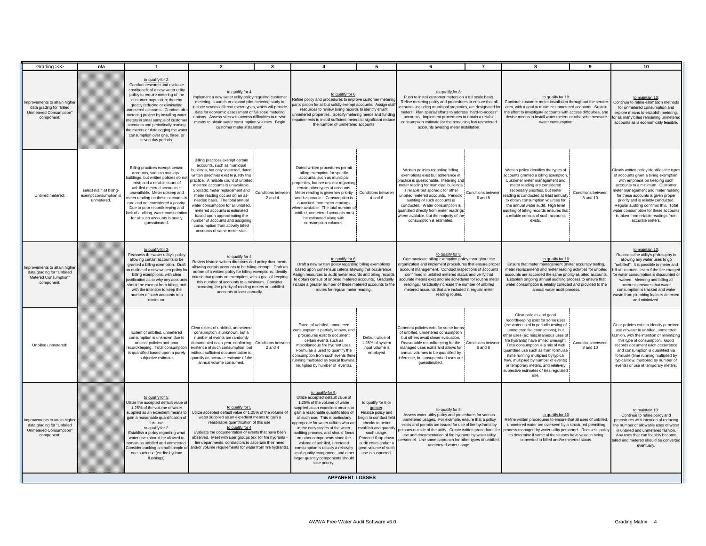| Grading >>>                                                                                       | n/a                                                               | $\mathbf{1}$                                                                                                                                                                                                                                                                                                                                                                                                                                          | $\overline{2}$                                                                                                                                                                                                                                                                                                                                                                                                                                                                                                                                          | $\mathbf{3}$                                                                                                                                                                                                                                                                                                                                                                                                                                                                                                                                                                                                                                                                                                                                                                                                                                                                                                                                                                                                                                                                                                      | $\mathbf{A}$                                                                                                                                                                                                                                                                                                                                                                                                                                                                                                                       | 5                                                                                                                                                                                                                                      | 6                                                                                                                                                                                                                                                                                                                                                                                                                              | $\overline{7}$                                                                                                                                                                                                                                                                                                                                                                                          | $\mathbf{a}$                                                                                                                                                                                                                                                                                                                                                                                                                                                                         | $\mathbf{q}$                                                                                                                                                                                                                                                                                                                                                        | 10                                                                                                                                                                                                                                                                                                                                                                                                                       |
|---------------------------------------------------------------------------------------------------|-------------------------------------------------------------------|-------------------------------------------------------------------------------------------------------------------------------------------------------------------------------------------------------------------------------------------------------------------------------------------------------------------------------------------------------------------------------------------------------------------------------------------------------|---------------------------------------------------------------------------------------------------------------------------------------------------------------------------------------------------------------------------------------------------------------------------------------------------------------------------------------------------------------------------------------------------------------------------------------------------------------------------------------------------------------------------------------------------------|-------------------------------------------------------------------------------------------------------------------------------------------------------------------------------------------------------------------------------------------------------------------------------------------------------------------------------------------------------------------------------------------------------------------------------------------------------------------------------------------------------------------------------------------------------------------------------------------------------------------------------------------------------------------------------------------------------------------------------------------------------------------------------------------------------------------------------------------------------------------------------------------------------------------------------------------------------------------------------------------------------------------------------------------------------------------------------------------------------------------|------------------------------------------------------------------------------------------------------------------------------------------------------------------------------------------------------------------------------------------------------------------------------------------------------------------------------------------------------------------------------------------------------------------------------------------------------------------------------------------------------------------------------------|----------------------------------------------------------------------------------------------------------------------------------------------------------------------------------------------------------------------------------------|--------------------------------------------------------------------------------------------------------------------------------------------------------------------------------------------------------------------------------------------------------------------------------------------------------------------------------------------------------------------------------------------------------------------------------|---------------------------------------------------------------------------------------------------------------------------------------------------------------------------------------------------------------------------------------------------------------------------------------------------------------------------------------------------------------------------------------------------------|--------------------------------------------------------------------------------------------------------------------------------------------------------------------------------------------------------------------------------------------------------------------------------------------------------------------------------------------------------------------------------------------------------------------------------------------------------------------------------------|---------------------------------------------------------------------------------------------------------------------------------------------------------------------------------------------------------------------------------------------------------------------------------------------------------------------------------------------------------------------|--------------------------------------------------------------------------------------------------------------------------------------------------------------------------------------------------------------------------------------------------------------------------------------------------------------------------------------------------------------------------------------------------------------------------|
| mprovements to attain highe<br>data grading for "Billed<br>Unmetered Consumption"<br>component:   |                                                                   | to qualify for 2:<br>Conduct research and evaluate<br>cost/benefit of a new water utility<br>policy to require metering of the<br>customer population; thereby<br>greatly reducing or eliminating<br>metered accounts. Conduct pilo<br>metering project by installing water<br>meters in small sample of customer<br>accounts and periodically reading<br>he meters or datalogging the water<br>consumption over one, three, or<br>seven day periods. | to qualify for 4:<br>Implement a new water utility policy requiring customer<br>metering. Launch or expand pilot metering study to<br>include several different meter types, which will provide<br>data for economic assessment of full scale metering<br>options. Assess sites with access difficulties to devise<br>means to obtain water consumption volumes. Begin<br>customer meter installation.                                                                                                                                                  | to qualify for 8:<br>to qualify for 6:<br>Push to install customer meters on a full scale basis.<br>to qualify for 10:<br>Refine policy and procedures to improve customer meterin<br>Continue customer meter installation throughout the service<br>Refine metering policy and procedures to ensure that all<br>participation for all but solidly exempt accounts. Assign sta<br>accounts, including municipal properties, are designated fo<br>area, with a goal to minimize unmetered accounts. Sustain<br>resources to review billing records to identify errant<br>meters. Plan special efforts to address "hard-to-access"<br>the effort to investigate accounts with access difficulties, and<br>inmetered properties. Specify metering needs and funding<br>accounts. Implement procedures to obtain a reliable<br>devise means to install water meters or otherwise measure<br>equirements to install sufficient meters to significant reduce<br>consumption estimate for the remaining few unmetered<br>water consumption.<br>the number of unmetered accounts<br>accounts awaiting meter installation. |                                                                                                                                                                                                                                                                                                                                                                                                                                                                                                                                    |                                                                                                                                                                                                                                        | to maintain 10:<br>Continue to refine estimation methods<br>for unmetered consumption and<br>explore means to establish metering.<br>for as many billed remaining unmetered<br>accounts as is economically feasible.                                                                                                                                                                                                           |                                                                                                                                                                                                                                                                                                                                                                                                         |                                                                                                                                                                                                                                                                                                                                                                                                                                                                                      |                                                                                                                                                                                                                                                                                                                                                                     |                                                                                                                                                                                                                                                                                                                                                                                                                          |
| Unbilled metered:                                                                                 | select n/a if all billing-<br>exempt consumption is<br>unmetered. | Billing practices exempt certain<br>accounts, such as municipal<br>uildinas, but written policies do not<br>exist; and a reliable count of<br>unbilled metered accounts is<br>unavailable. Meter upkeep and<br>eter reading on these accounts is<br>rare and not considered a priority.<br>Due to poor recordkeeping and<br>ack of auditing, water consumption<br>for all such accounts is purely<br>quesstimated.                                    | Billing practices exempt certain<br>accounts, such as municipal<br>buildings, but only scattered, dated<br>written directives exist to justify this<br>practice. A reliable count of unbilled<br>metered accounts is unavailable.<br>Sporadic meter replacement and<br>meter reading occurs on an as-<br>needed basis. The total annual<br>water consumption for all unbilled,<br>metered accounts is estimated<br>based upon approximating the<br>number of accounts and assigning<br>consumption from actively billed<br>accounts of same meter size. | Conditions betwee<br>$2$ and $4$                                                                                                                                                                                                                                                                                                                                                                                                                                                                                                                                                                                                                                                                                                                                                                                                                                                                                                                                                                                                                                                                                  | Dated written procedures permit<br>billing exemption for specific<br>accounts, such as municipal<br>roperties, but are unclear regarding<br>certain other types of accounts.<br>Meter reading is given low priority<br>and is sporadic. Consumption is<br>quantified from meter readings<br>where available. The total number of<br>unbilled, unmetered accounts must<br>be estimated along with<br>consumption volumes.                                                                                                           | Conditions between<br>4 and 6                                                                                                                                                                                                          | Written policies regarding billing<br>exemptions exist but adherence in<br>practice is questionable. Metering and<br>meter reading for municipal buildings<br>is reliable but sporadic for other<br>unbilled metered accounts. Periodic<br>auditing of such accounts is<br>conducted. Water consumption is<br>quantified directly from meter readings<br>where available, but the majority of the<br>consumption is estimated. | Conditions betwee<br>6 and 8                                                                                                                                                                                                                                                                                                                                                                            | Written policy identifies the types of<br>accounts granted a billing exemption.<br>Customer meter management and<br>meter reading are considered<br>secondary priorities, but meter<br>eading is conducted at least annually<br>to obtain consumption volumes for<br>the annual water audit. High level<br>auditing of billing records ensures that<br>a reliable census of such accounts<br>exists                                                                                  | Conditions between<br>8 and 10                                                                                                                                                                                                                                                                                                                                      | Clearly written policy identifies the types<br>of accounts given a billing exemption,<br>with emphasis on keeping such<br>accounts to a minimum. Customer<br>meter management and meter reading<br>for these accounts is given proper<br>priority and is reliably conducted.<br>Regular auditing confirms this. Total<br>water consumption for these accounts<br>is taken from reliable readings from<br>accurate meters |
| mprovements to attain higher<br>data grading for "Unbilled<br>Metered Consumption"<br>component:  |                                                                   | to qualify for 2:<br>Reassess the water utility's policy<br>allowing certain accounts to be<br>granted a billing exemption. Draft<br>an outline of a new written policy for<br>billing exemptions, with clear<br>ustification as to why any accounts<br>should be exempt from billing, and<br>with the intention to keep the<br>number of such accounts to a<br>minimum                                                                               | to qualify for 4:<br>Review historic written directives and policy documents<br>allowing certain accounts to be billing-exempt. Draft an<br>outline of a written policy for billing exemptions, identify<br>criteria that grants an exemption, with a goal of keeping<br>this number of accounts to a minimum. Consider<br>increasing the priority of reading meters on unbilled<br>accounts at least annually.                                                                                                                                         |                                                                                                                                                                                                                                                                                                                                                                                                                                                                                                                                                                                                                                                                                                                                                                                                                                                                                                                                                                                                                                                                                                                   | to qualify for 6:<br>Draft a new written policy regarding billing exemptions<br>based upon consensus criteria allowing this occurrence<br>Assign resources to audit meter records and billing records<br>to obtain census of unbilled metered accounts. Gradually<br>include a greater number of these metered accounts to the<br>routes for regular meter reading.                                                                                                                                                                |                                                                                                                                                                                                                                        | to qualify for 8:<br>reading routes.                                                                                                                                                                                                                                                                                                                                                                                           | Communicate billing exemption policy throughout the<br>rganization and implement procedures that ensure proper<br>account management. Conduct inspections of accounts<br>confirmed in unbilled metered status and verify that<br>accurate meters exist and are scheduled for routine mete<br>readings. Gradually increase the number of unbilled<br>metered accounts that are included in regular meter |                                                                                                                                                                                                                                                                                                                                                                                                                                                                                      | to qualify for 10:<br>Ensure that meter management (meter accuracy testing,<br>meter replacement) and meter reading activities for unbilled<br>accounts are accorded the same priority as billed accounts<br>Establish ongoing annual auditing process to ensure that<br>water consumption is reliably collected and provided to the<br>annual water audit process. | to maintain 10:<br>Reassess the utility's philosophy in<br>allowing any water uses to go<br>"unbilled". It is possible to meter and<br>bill all accounts, even if the fee charged<br>for water consumption is discounted or<br>waived. Metering and billing all<br>accounts ensures that water<br>consumption is tracked and water<br>waste from plumbing leaks is detected<br>and minimized.                            |
| Unbilled unmetered:                                                                               |                                                                   | Extent of unbilled, unmetered<br>consumption is unknown due to<br>unclear policies and poor<br>ecordkeeping. Total consumption<br>is quantified based upon a purely<br>subjective estimate.                                                                                                                                                                                                                                                           | Clear extent of unbilled, unmetered<br>consumption is unknown, but a<br>number of events are randomly<br>documented each vear, confirming Conditions betwe<br>existence of such consumption, but<br>without sufficient documentation to<br>quantify an accurate estimate of the<br>annual volume consumed.                                                                                                                                                                                                                                              | 2 and 4                                                                                                                                                                                                                                                                                                                                                                                                                                                                                                                                                                                                                                                                                                                                                                                                                                                                                                                                                                                                                                                                                                           | Extent of unbilled, unmetered<br>consumption is partially known, and<br>procedures exist to document<br>certain events such as<br>miscellaneous fire hydrant uses.<br>Formulae is used to quantify the<br>consumption from such events (time<br>unning multiplied by typical flowrate,<br>multiplied by number of events).                                                                                                                                                                                                         | Default value of<br>1.25% of system<br>input volume is<br>employed                                                                                                                                                                     | Coherent policies exist for some form:<br>of unbilled, unmetered consumption<br>but others await closer evaluation.<br>Reasonable recordkeeping for the<br>managed uses exists and allows for<br>annual volumes to be quantified by<br>nference, but unsupervised uses are<br>guesstimated.                                                                                                                                    | Conditions betwee<br>6 and 8                                                                                                                                                                                                                                                                                                                                                                            | Clear policies and good<br>recordkeeping exist for some uses<br>(ex: water used in periodic testing of<br>unmetered fire connections), but<br>other uses (ex: miscellaneous uses of<br>fire hydrants) have limited oversight.<br>Total consumption is a mix of well<br>quantified use such as from formulae<br>(time running multiplied by typical<br>flow, multiplied by number of events)<br>or temporary meters, and relatively<br>subjective estimates of less regulated<br>use. | Conditions between<br>8 and 10                                                                                                                                                                                                                                                                                                                                      | Clear policies exist to identify permitted<br>use of water in unbilled, unmetered<br>fashion, with the intention of minimizing<br>this type of consumption. Good<br>records document each occurrence<br>and consumption is quantified via<br>formulae (time running multiplied by<br>typical flow, multiplied by number of<br>events) or use of temporary meters.                                                        |
| mprovements to attain highe<br>data grading for "Unbilled<br>Unmetered Consumption"<br>component: |                                                                   | to qualify for 5:<br>Jtilize the accepted default value of<br>1.25% of the volume of water<br>supplied as an expedient means to<br>gain a reasonable quantification of<br>this use<br>to qualify for 2:<br>Establish a policy regarding what<br>water uses should be allowed to<br>remain as unbilled and unmetered.<br>Consider tracking a small sample of<br>one such use (ex: fire hydrant<br>flushings).                                          | to qualify for 5:<br>Utilize accepted default value of 1.25% of the volume of<br>water supplied as an expedient means to gain a<br>reasonable quantification of this use.<br>to qualify for 4:<br>Evaluate the documentation of events that have been<br>observed. Meet with user groups (ex: for fire hydrants<br>fire departments, contractors to ascertain their need<br>and/or volume requirements for water from fire hydrants)                                                                                                                    |                                                                                                                                                                                                                                                                                                                                                                                                                                                                                                                                                                                                                                                                                                                                                                                                                                                                                                                                                                                                                                                                                                                   | to qualify for 5:<br>Utilize accepted default value of<br>1.25% of the volume of water<br>supplied as an expedient means to<br>gain a reasonable quantification of<br>all such use. This is particularly<br>appropriate for water utilities who are<br>in the early stages of the water<br>auditing process, and should focus<br>on other components since the<br>volume of unbilled, umetered<br>consumption is usually a relatively<br>small quatity component, and other<br>larger-quantity components should<br>take priority. | to qualify for 6 or<br>greater:<br>Finalize policy and<br>egin to conduct field<br>checks to better<br>stablish and quantif<br>such usage.<br>roceed if top-down<br>audit exists and/or a<br>great volume of sucl<br>use is suspected. | to qualify for 8:<br>Assess water utility policy and procedures for various<br>unmetered usages. For example, ensure that a policy<br>exists and permits are issued for use of fire hydrants by<br>ersons outside of the utility. Create written procedures fo<br>use and documentation of fire hydrants by water utility<br>bersonnel. Use same approach for other types of unbilled<br>unmetered water usage.                |                                                                                                                                                                                                                                                                                                                                                                                                         | to qualify for 10:<br>Refine written procedures to ensure that all uses of unbilled,<br>unmetered water are overseen by a structured permitting<br>rocess managed by water utility personnel. Reassess policy<br>to determine if some of these uses have value in being<br>converted to billed and/or metered status.                                                                                                                                                                |                                                                                                                                                                                                                                                                                                                                                                     | to maintain 10:<br>Continue to refine policy and<br>procedures with intention of reducing<br>the number of allowable uses of water<br>in unbilled and unmetered fashion.<br>Any uses that can feasibly become<br>billed and metered should be converted<br>eventually.                                                                                                                                                   |
|                                                                                                   |                                                                   |                                                                                                                                                                                                                                                                                                                                                                                                                                                       |                                                                                                                                                                                                                                                                                                                                                                                                                                                                                                                                                         |                                                                                                                                                                                                                                                                                                                                                                                                                                                                                                                                                                                                                                                                                                                                                                                                                                                                                                                                                                                                                                                                                                                   | <b>APPARENT LOSSES</b>                                                                                                                                                                                                                                                                                                                                                                                                                                                                                                             |                                                                                                                                                                                                                                        |                                                                                                                                                                                                                                                                                                                                                                                                                                |                                                                                                                                                                                                                                                                                                                                                                                                         |                                                                                                                                                                                                                                                                                                                                                                                                                                                                                      |                                                                                                                                                                                                                                                                                                                                                                     |                                                                                                                                                                                                                                                                                                                                                                                                                          |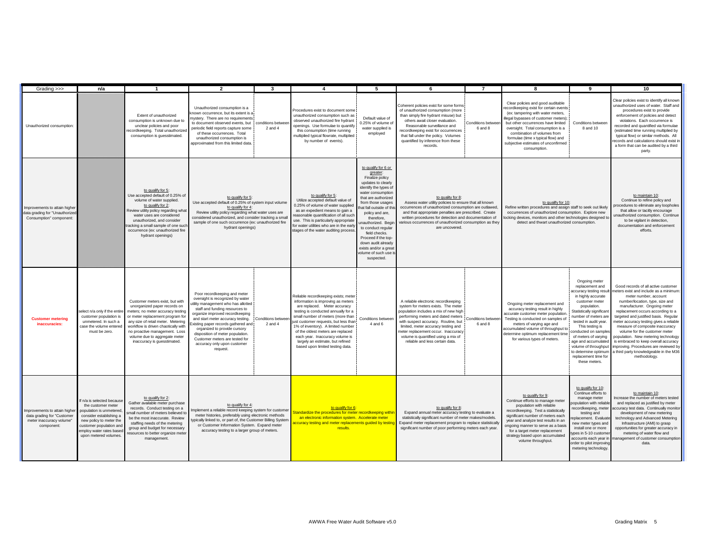| Grading >>>                                                                                          | n/a                                                                                                                                                                                                              | $\mathbf{1}$                                                                                                                                                                                                                                                                                                           | $\mathbf{z}$                                                                                                                                                                                                                                                                                                                                                                                            | 3                                | $\mathbf{A}$                                                                                                                                                                                                                                                                                                                                                                                                          | -5                                                                                                                                                                                                                                                                                                                                                                                                  | 6                                                                                                                                                                                                                                                                                                                                                        | $\overline{7}$               | 8                                                                                                                                                                                                                                                                                                                                                                | $\mathbf{a}$                                                                                                                                                                                                                                                                                                                                                                      | 10                                                                                                                                                                                                                                                                                                                                                                                                                                                                                                                                                      |
|------------------------------------------------------------------------------------------------------|------------------------------------------------------------------------------------------------------------------------------------------------------------------------------------------------------------------|------------------------------------------------------------------------------------------------------------------------------------------------------------------------------------------------------------------------------------------------------------------------------------------------------------------------|---------------------------------------------------------------------------------------------------------------------------------------------------------------------------------------------------------------------------------------------------------------------------------------------------------------------------------------------------------------------------------------------------------|----------------------------------|-----------------------------------------------------------------------------------------------------------------------------------------------------------------------------------------------------------------------------------------------------------------------------------------------------------------------------------------------------------------------------------------------------------------------|-----------------------------------------------------------------------------------------------------------------------------------------------------------------------------------------------------------------------------------------------------------------------------------------------------------------------------------------------------------------------------------------------------|----------------------------------------------------------------------------------------------------------------------------------------------------------------------------------------------------------------------------------------------------------------------------------------------------------------------------------------------------------|------------------------------|------------------------------------------------------------------------------------------------------------------------------------------------------------------------------------------------------------------------------------------------------------------------------------------------------------------------------------------------------------------|-----------------------------------------------------------------------------------------------------------------------------------------------------------------------------------------------------------------------------------------------------------------------------------------------------------------------------------------------------------------------------------|---------------------------------------------------------------------------------------------------------------------------------------------------------------------------------------------------------------------------------------------------------------------------------------------------------------------------------------------------------------------------------------------------------------------------------------------------------------------------------------------------------------------------------------------------------|
| Unauthorized consumption                                                                             |                                                                                                                                                                                                                  | Extent of unauthorized<br>consumption is unknown due to<br>unclear policies and poor<br>ecordkeeping. Total unauthorized<br>consumption is quesstimated.                                                                                                                                                               | Unauthorized consumption is a<br>nown occurrence, but its extent is a<br>nystery. There are no requirements<br>to document observed events, but<br>periodic field reports capture some<br>of these occurrences. Total<br>unauthorized consumption is<br>approximated from this limited data.                                                                                                            | conditions betwee<br>$2$ and $4$ | Procedures exist to document some<br>unauthorized consumption such as<br>observed unauthorized fire hydrant<br>openings. Use formulae to quantify<br>this consumption (time running<br>multiplied typical flowrate, multiplied<br>by number of events).                                                                                                                                                               | Default value of<br>0.25% of volume o<br>water supplied is<br>employed                                                                                                                                                                                                                                                                                                                              | Coherent policies exist for some forms<br>of unauthorized consumption (more<br>than simply fire hydrant misuse) but<br>others await closer evaluation.<br>Reasonable surveillance and<br>recordkeeping exist for occurrences<br>that fall under the policy. Volumes<br>quantified by inference from these<br>records.                                    | Conditions betwe<br>6 and 8  | Clear policies and good auditable<br>recordkeeping exist for certain events<br>(ex: tampering with water meters,<br>illegal bypasses of customer meters);<br>but other occurrences have limited<br>oversight. Total consumption is a<br>combination of volumes from<br>formulae (time x typical flow) and<br>subjective estimates of unconfirmed<br>consumption. | Conditions between<br>8 and 10                                                                                                                                                                                                                                                                                                                                                    | Clear policies exist to identify all known<br>unauthorized uses of water. Staff and<br>procedures exist to provide<br>enforcement of policies and detect<br>violations. Each occurrence is<br>recorded and quantified via formulae<br>(estimated time running multiplied by<br>typical flow) or similar methods. All<br>records and calculations should exist in<br>a form that can be audited by a third<br>party.                                                                                                                                     |
| Improvements to attain higher<br>data grading for "Unauthorize<br>Consumption" component:            |                                                                                                                                                                                                                  | to qualify for 5:<br>Use accepted default of 0.25% of<br>volume of water supplied.<br>to qualify for 2:<br>Review utility policy regarding what<br>water uses are considered<br>unauthorized, and consider<br>racking a small sample of one such<br>occurrence (ex: unauthorized fire<br>hydrant openings)             | to qualify for 5:<br>Use accepted default of 0.25% of system input volume<br>to qualify for 4:<br>Review utility policy regarding what water uses are<br>considered unauthorized, and consider tracking a small<br>sample of one such occurrence (ex: unauthorized fire<br>hydrant openings)                                                                                                            |                                  | to qualify for 5:<br>Utilize accepted default value of<br>0.25% of volume of water supplied<br>as an expedient means to gain a<br>reasonable quantification of all such<br>use. This is particularly appropriate<br>for water utilities who are in the early<br>stages of the water auditing process.                                                                                                                 | to qualify for 6 or<br>greater:<br>Finalize policy<br>updates to clearly<br>identify the types of<br>water consumption<br>that are authorized<br>from those usages<br>at fall outside of thi<br>policy and are,<br>therefore,<br>unauthorized. Begi<br>to conduct regular<br>field checks.<br>Proceed if the top-<br>down audit already<br>exists and/or a grea<br>volume of such use<br>suspected. | to quality for 8:<br>Assess water utility policies to ensure that all known<br>occurrences of unauthorized consumption are outlawed,<br>and that appropriate penalties are prescribed. Create<br>written procedures for detection and documentation of<br>various occurrences of unauthorized consumption as the<br>are uncovered                        |                              | to qualify for 10:<br>Refine written procedures and assign staff to seek out likely<br>occurrences of unauthorized consumption. Explore new<br>ocking devices, monitors and other technologies designed to<br>detect and thwart unauthorized consumption.                                                                                                        |                                                                                                                                                                                                                                                                                                                                                                                   | to maintain 10:<br>Continue to refine policy and<br>ocedures to eliminate any loopholes<br>that allow or tacitly encourage<br>unauthorized consumption. Continue<br>to be vigilant in detection,<br>documentation and enforcement<br>efforts.                                                                                                                                                                                                                                                                                                           |
| <b>Customer metering</b><br>inaccuracies:                                                            | select n/a only if the entire<br>customer population is<br>unmetered. In such a<br>case the volume entered<br>must be zero.                                                                                      | Customer meters exist, but with<br>unorganized paper records on<br>neters; no meter accuracy testing<br>or meter replacement program for<br>any size of retail meter. Metering<br>workflow is driven chaotically with<br>no proactive management. Loss<br>volume due to aggregate meter<br>inaccuracy is quesstimated. | Poor recordkeeping and meter<br>oversight is recognized by water<br>tility management who has allotted<br>staff and funding resources to<br>organize improved recordkeeping<br>and start meter accuracy testing.<br>xisting paper records gathered and<br>organized to provide cursory<br>disposition of meter population.<br>Customer meters are tested for<br>accuracy only upon customer<br>request. | Conditions betwee<br>2 and 4     | Reliable recordkeeping exists: meter<br>information is improving as meters<br>are replaced. Meter accuracy<br>testing is conducted annually for a<br>small number of meters (more than<br>just customer requests, but less than<br>1% of inventory). A limited number<br>of the oldest meters are replaced<br>each year. Inaccuracy volume is<br>largely an estimate, but refined<br>based upon limited testing data. | Conditions betwee<br>4 and 6                                                                                                                                                                                                                                                                                                                                                                        | A reliable electronic recordkeeping<br>system for meters exists. The meter<br>population includes a mix of new high<br>performing meters and dated meters<br>with suspect accuracy. Routine, but<br>limited, meter accuracy testing and<br>neter replacement occur. Inaccuracy<br>volume is quantified using a mix of<br>reliable and less certain data. | Conditions betwee<br>6 and 8 | Ongoing meter replacement and<br>accuracy testing result in highly<br>accurate customer meter population<br>Testing is conducted on samples of<br>meters of varying age and<br>accumulated volume of throughput to<br>determine optimum replacement time<br>for various types of meters.                                                                         | Ongoing meter<br>replacement and<br>ccuracy testing resul<br>in highly accurate<br>customer meter<br>population.<br>Statistically significant<br>number of meters are<br>tested in audit year.<br>This testing is<br>conducted on samples<br>of meters of varying<br>age and accumulated<br>volume of throughput<br>to determine optimur<br>replacement time for<br>these meters. | Good records of all active customer<br>neters exist and include as a minimum:<br>meter number, account<br>number/location, type, size and<br>manufacturer. Ongoing meter<br>replacement occurs according to a<br>targeted and justified basis. Regular<br>meter accuracy testing gives a reliable<br>measure of composite inaccuracy<br>volume for the customer meter<br>population. New metering technology<br>is embraced to keep overall accuracy<br>improving. Procedures are reviewed by<br>a third party knowledgeable in the M36<br>methodology. |
| Improvements to attain higher<br>data grading for "Customer<br>meter inaccuracy volume"<br>component | If n/a is selected because<br>the customer meter<br>population is unmetered<br>consider establishing a<br>new policy to meter the<br>customer population and<br>employ water rates base<br>upon metered volumes. | to qualify for 2:<br>Gather available meter purchase<br>records. Conduct testing on a<br>mall number of meters believed to<br>be the most inaccurate. Review<br>staffing needs of the metering<br>group and budget for necessary<br>esources to better organize meter<br>management.                                   | to qualify for 4:<br>mplement a reliable record keeping system for customer<br>meter histories, preferably using electronic methods<br>ypically linked to, or part of, the Customer Billing Systen<br>or Customer Information System. Expand meter<br>accuracy testing to a larger group of meters.                                                                                                     |                                  | to qualify for 6:<br>tandardize the procedures for meter recordkeeping withi<br>an electronic information system. Accelerate meter<br>ccuracy testing and meter replacements guided by testin<br>results.                                                                                                                                                                                                             |                                                                                                                                                                                                                                                                                                                                                                                                     | to qualify for 8:<br>Expand annual meter accuracy testing to evaluate a<br>statistically significant number of meter makes/models.<br>Expand meter replacement program to replace statistically<br>significant number of poor performing meters each year.                                                                                               |                              | to qualify for 9:<br>Continue efforts to manage meter<br>population with reliable<br>recordkeeping. Test a statistically<br>significant number of meters each<br>year and analyze test results in an<br>ongoing manner to serve as a basis<br>for a target meter replacement<br>strategy based upon accumulated<br>volume throughput.                            | to qualify for 10:<br>Continue efforts to<br>manage meter<br>opulation with reliable<br>ecordkeeping, meter<br>testing and<br>placement. Evaluate<br>new meter types and<br>install one or more<br>rpes in 5-10 custome<br>accounts each year in<br>order to pilot improving<br>metering technology.                                                                              | to maintain 10:<br>Increase the number of meters tested<br>and replaced as justified by meter<br>accuracy test data. Continually monitor<br>development of new metering<br>technology and Advanced Metering<br>Infrastructure (AMI) to grasp<br>opportunities for greater accuracy in<br>metering of water flow and<br>anagement of customer consumption<br>data.                                                                                                                                                                                       |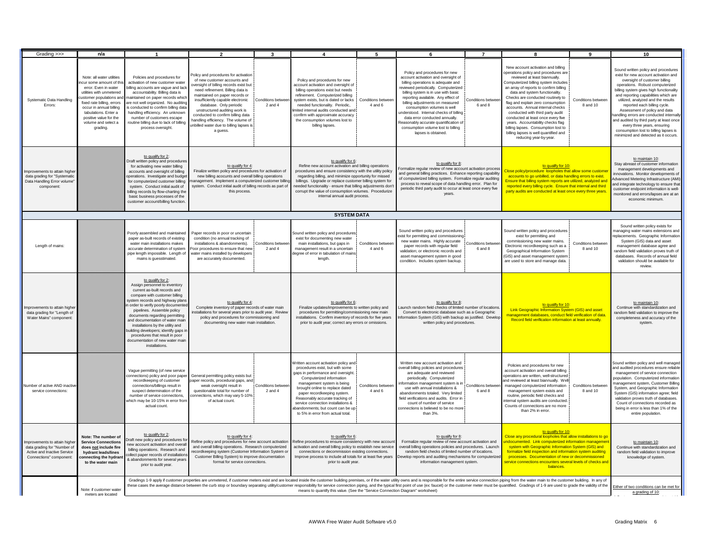| Grading >>>                                                                                                           | n/a                                                                                                                                                                                                                                                                                                                                                                                                                                                                                                                                                                                                | $\mathbf{1}$                                                                                                                                                                                                                                                                                                                                                                                                                                                       | $\overline{2}$                                                                                                                                                                                                                                                                                                                                                                                                         | $\mathbf{3}$                 |                                                                                                                                                                                                                                                                                                                                                                                                                        | 5                             | 6                                                                                                                                                                                                                                                                                                                                                                                                                                                                                  | $\overline{7}$                                              | 8                                                                                                                                                                                                                                                                                                                                                                                                                                                                                                                                                                      | $\mathbf{Q}$                  | 10                                                                                                                                                                                                                                                                                                                                                                                                                                                                                                                                               |
|-----------------------------------------------------------------------------------------------------------------------|----------------------------------------------------------------------------------------------------------------------------------------------------------------------------------------------------------------------------------------------------------------------------------------------------------------------------------------------------------------------------------------------------------------------------------------------------------------------------------------------------------------------------------------------------------------------------------------------------|--------------------------------------------------------------------------------------------------------------------------------------------------------------------------------------------------------------------------------------------------------------------------------------------------------------------------------------------------------------------------------------------------------------------------------------------------------------------|------------------------------------------------------------------------------------------------------------------------------------------------------------------------------------------------------------------------------------------------------------------------------------------------------------------------------------------------------------------------------------------------------------------------|------------------------------|------------------------------------------------------------------------------------------------------------------------------------------------------------------------------------------------------------------------------------------------------------------------------------------------------------------------------------------------------------------------------------------------------------------------|-------------------------------|------------------------------------------------------------------------------------------------------------------------------------------------------------------------------------------------------------------------------------------------------------------------------------------------------------------------------------------------------------------------------------------------------------------------------------------------------------------------------------|-------------------------------------------------------------|------------------------------------------------------------------------------------------------------------------------------------------------------------------------------------------------------------------------------------------------------------------------------------------------------------------------------------------------------------------------------------------------------------------------------------------------------------------------------------------------------------------------------------------------------------------------|-------------------------------|--------------------------------------------------------------------------------------------------------------------------------------------------------------------------------------------------------------------------------------------------------------------------------------------------------------------------------------------------------------------------------------------------------------------------------------------------------------------------------------------------------------------------------------------------|
| Systematic Data Handling<br>Errors:                                                                                   | Note: all water utilities<br>cur some amount of th<br>error. Even in water<br>utilities with unmetered<br>customer populations and<br>fixed rate billing, errors<br>occur in annual billing<br>tabulations. Enter a<br>positive value for the<br>volume and select a<br>grading.                                                                                                                                                                                                                                                                                                                   | Policies and procedures for<br>activation of new customer water<br>illing accounts are vague and lack<br>accountability. Billing data is<br>aintained on paper records which<br>are not well organized. No auditing<br>s conducted to confirm billing data<br>handling efficiency. An unknown<br>number of customers escape<br>routine billing due to lack of billing<br>process oversight.                                                                        | olicy and procedures for activation<br>of new customer accounts and<br>oversight of billing records exist but<br>need refinement. Billing data is<br>maintained on paper records or<br>insufficiently capable electronic<br>database. Only periodic<br>unstructured auditing work is<br>conducted to confirm billing data<br>handling efficiency. The volume of<br>unbilled water due to billing lapses is<br>a guess. | Conditions betwe<br>2 and 4  | Policy and procedures for new<br>account activation and oversight of<br>billing operations exist but needs<br>refinement. Computerized billing<br>system exists, but is dated or lacks<br>needed functionality. Periodic,<br>imited internal audits conducted and<br>confirm with approximate accuracy<br>the consumption volumes lost to<br>billing lapses.                                                           | Conditions betwee<br>4 and 6  | Policy and procedures for new<br>account activation and oversight of<br>billing operations is adequate and<br>reviewed periodically. Computerized<br>billing system is in use with basic<br>reporting available. Any effect of<br>billing adjustments on measured<br>consumption volumes is well<br>understood. Internal checks of billing<br>data error conducted annually.<br>Reasonably accurate quantification of<br>consumption volume lost to billing<br>lapses is obtained. | Conditions betwe<br>6 and 8                                 | New account activation and billing<br>operations policy and procedures are<br>reviewed at least biannually.<br>Computerized billing system includes<br>an array of reports to confirm billing<br>data and system functionality.<br>Checks are conducted routinely to<br>flag and explain zero consumption<br>accounts. Annual internal checks<br>conducted with third party audit<br>conducted at least once every five<br>years. Accountability checks flag<br>billing lapses. Consumption lost to<br>billing lapses is well quantified and<br>reducing year-by-year. | Conditions betwee<br>8 and 10 | Sound written policy and procedures<br>exist for new account activation and<br>oversight of customer billing<br>operations. Robust computerized<br>billing system gives high functionality<br>and reporting capabilities which are<br>utilized, analyzed and the results<br>reported each billing cycle.<br>Assessment of policy and data<br>andling errors are conducted internally<br>and audited by third party at least once<br>every three years, ensuring<br>consumption lost to billing lapses is<br>minimized and detected as it occurs. |
| mprovements to attain higher<br>data grading for "Systematic<br>Data Handling Error volume'<br>component:             |                                                                                                                                                                                                                                                                                                                                                                                                                                                                                                                                                                                                    | to qualify for 2:<br>Draft written policy and procedures<br>for activating new water billing<br>accounts and oversight of billing<br>operations. Investigate and budget<br>for computerized customer billing<br>system. Conduct initial audit of<br>billing records by flow-charting the<br>basic business processes of the<br>customer account/billing function.                                                                                                  | to qualify for 4:<br>Finalize written policy and procedures for activation of<br>new billing acocunts and overall billing operations<br>anagement. Implement a computerized customer billing<br>system. Conduct initial audit of billing records as part of<br>this process.                                                                                                                                           |                              | to qualify for 6:<br>Refine new account activation and billing operations<br>procedures and ensure consistency with the utility policy<br>regarding billing, and minimize opportunity for missed<br>billings. Upgrade or replace customer billing system for<br>needed functionality - ensure that billing adjustments don'<br>corrupt the value of consumption volumes. Procedurize<br>internal annual audit process. |                               | to qualify for 8:<br>Formalize regular review of new account activation proces<br>and general billing practices. Enhance reporting capability<br>of computerized billing system. Formalize regular auditing<br>process to reveal scope of data handling error. Plan for<br>periodic third party audit to occur at least once every five<br>years.                                                                                                                                  |                                                             | to qualify for 10:<br>Close policy/procedure loopholes that allow some custome<br>accounts to go unbilled, or data handling errors to exist.<br>Ensure that billing system reports are utilized, analyzed and<br>reported every billing cycle. Ensure that internal and third<br>party audits are conducted at least once every three years                                                                                                                                                                                                                            |                               | to maintain 10:<br>Stay abreast of customer information<br>management developments and<br>innovations. Monitor developments of<br>dvanced Metering Infrastructure (AMI)<br>and integrate technology to ensure that<br>customer endpoint information is well-<br>monitored and errors/lapses are at an<br>economic minimum.                                                                                                                                                                                                                       |
|                                                                                                                       |                                                                                                                                                                                                                                                                                                                                                                                                                                                                                                                                                                                                    |                                                                                                                                                                                                                                                                                                                                                                                                                                                                    |                                                                                                                                                                                                                                                                                                                                                                                                                        |                              | <b>SYSTEM DATA</b>                                                                                                                                                                                                                                                                                                                                                                                                     |                               |                                                                                                                                                                                                                                                                                                                                                                                                                                                                                    |                                                             |                                                                                                                                                                                                                                                                                                                                                                                                                                                                                                                                                                        |                               |                                                                                                                                                                                                                                                                                                                                                                                                                                                                                                                                                  |
| Length of mains:                                                                                                      |                                                                                                                                                                                                                                                                                                                                                                                                                                                                                                                                                                                                    | Poorly assembled and maintained<br>paper as-built records of existing<br>water main installations makes<br>accurate determination of system<br>pipe length impossible. Length of<br>mains is quesstimated.                                                                                                                                                                                                                                                         | Paper records in poor or uncertain<br>condition (no annual tracking of<br>installations & abandonments).<br>oor procedures to ensure that new<br>water mains installed by developers<br>are accurately documented.                                                                                                                                                                                                     | Conditions betwee<br>2 and 4 | Sound written policy and procedures<br>exist for documenting new water<br>main installations, but gaps in<br>management result in a uncertain<br>degree of error in tabulation of mains<br>length.                                                                                                                                                                                                                     | Conditions between<br>4 and 6 | Sound written policy and procedures<br>exist for permitting and commissionin<br>new water mains. Highly accurate<br>paper records with regular field<br>validation: or electronic records and<br>asset management system in good<br>condition. Includes system backup.                                                                                                                                                                                                             | Conditions betwe<br>6 and 8                                 | Sound written policy and procedures<br>exist for permitting and<br>commissioning new water mains.<br>Electronic recordkeeping such as a<br>Geographical Information System<br>(GIS) and asset management system<br>are used to store and manage data.                                                                                                                                                                                                                                                                                                                  | Conditions betwee<br>8 and 10 | Sound written policy exists for<br>anaging water mains extensions and<br>eplacements. Geographic Information<br>System (GIS) data and asset<br>management database agree and<br>random field validation proves truth of<br>databases. Records of annual field<br>validation should be available for<br>review                                                                                                                                                                                                                                    |
| mprovements to attain higher<br>data grading for "Length of<br>Water Mains" component                                 |                                                                                                                                                                                                                                                                                                                                                                                                                                                                                                                                                                                                    | to qualify for 2:<br>Assign personnel to inventory<br>current as-built records and<br>compare with customer billing<br>system records and highway plans<br>order to verify poorly documented<br>pipelines. Assemble policy<br>documents regarding permitting<br>and documentation of water main<br>installations by the utility and<br>puilding developers; identify gaps in<br>procedures that result in poor<br>documentation of new water main<br>installations | to qualify for 4:<br>Complete inventory of paper records of water main<br>nstallations for several years prior to audit year. Review<br>policy and procedures for commissioning and<br>documenting new water main installation.                                                                                                                                                                                        |                              | to qualify for 6:<br>Finalize updates/improvements to written policy and<br>procedures for permitting/commissioning new main<br>installations. Confirm inventory of records for five years<br>prior to audit year; correct any errors or omissions.                                                                                                                                                                    |                               | to qualify for 8:<br>Launch random field checks of limited number of location<br>Convert to electronic database such as a Geographic<br>nformation System (GIS) with backup as justified. Develop<br>written policy and procedures.                                                                                                                                                                                                                                                |                                                             | to qualify for 10:<br>Link Geographic Information System (GIS) and asset<br>management databases, conduct field verification of data<br>Record field verification information at least annually.                                                                                                                                                                                                                                                                                                                                                                       |                               | to maintain 10:<br>Continue with standardization and<br>random field validation to improve the<br>completeness and accuracy of the<br>system                                                                                                                                                                                                                                                                                                                                                                                                     |
| <b>Jumber of active AND inactive</b><br>service connections:                                                          |                                                                                                                                                                                                                                                                                                                                                                                                                                                                                                                                                                                                    | Vague permitting (of new service<br>recordkeeping of customer<br>connections/billings result in<br>suspect determination of the<br>number of service connections.<br>which may be 10-15% in error from<br>actual count                                                                                                                                                                                                                                             | connections) policy and poor paper General permitting policy exists but<br>paper records, procedural gaps, and<br>weak oversight result in<br>questionable total for number of<br>onnections, which may vary 5-10%<br>of actual count.                                                                                                                                                                                 | Conditions betwee<br>2 and 4 | Written account activation policy and<br>procedures exist, but with some<br>gaps in performance and oversight.<br>Computerized information<br>management system is being<br>brought online to replace dated<br>paper recordkeeping system.<br>Reasonably accurate tracking of<br>service connection installations &<br>abandonments; but count can be up<br>to 5% in error from actual total.                          | Conditions betwee<br>4 and 6  | Written new account activation and<br>overall billing policies and procedures<br>are adequate and reviewed<br>periodically. Computerized<br>formation management system is in<br>use with annual installations &<br>abandonments totaled. Very limited<br>field verifications and audits. Error in<br>count of number of service<br>connections is believed to be no mon<br>than 3%.                                                                                               | Conditions betwee<br>6 and 8                                | Policies and procedures for new<br>account activation and overall billing<br>operations are written, well-structured<br>and reviewed at least biannually. Well<br>managed computerized information<br>management system exists and<br>routine, periodic field checks and<br>nternal system audits are conducted.<br>Counts of connections are no more<br>than 2% in error.                                                                                                                                                                                             | Conditions betwee<br>8 and 10 | Sound written policy and well managed<br>and audited procedures ensure reliable<br>management of service connection<br>population. Computerized information<br>management system, Customer Billing<br>System, and Geographic Information<br>System (GIS) information agree; field<br>validation proves truth of databases.<br>Count of connections recorded as<br>being in error is less than 1% of the<br>entire population.                                                                                                                    |
| mprovements to attain higher<br>data grading for "Number of<br>Active and Inactive Service<br>Connections" component: | Note: The number of<br><b>Service Connections</b><br>does not include fire<br>hydrant leads/lines<br>connecting the hydran<br>to the water main                                                                                                                                                                                                                                                                                                                                                                                                                                                    | to qualify for 2:<br>raft new policy and procedures fo<br>ew account activation and overall<br>billing operations. Research and<br>ollect paper records of installations<br>& abandonments for several years<br>prior to audit year.                                                                                                                                                                                                                               | to qualify for 4:<br>Refine policy and procedures for new account activation<br>and overall billing operations. Research computerized<br>recordkeeping system (Customer Information System or<br>Customer Billing System) to improve documentation<br>format for service connections.                                                                                                                                  |                              | to qualify for 6:<br>Refine procedures to ensure consistency with new accoun<br>activation and overall billing policy to establish new service<br>connections or decommission existing connections.<br>Improve process to include all totals for at least five years<br>prior to audit year.                                                                                                                           |                               | to qualify for 8:<br>Formalize regular review of new account activation and<br>overall billing operations policies and procedures. Launch<br>random field checks of limited number of locations.<br>Develop reports and auditing mechanisms for computerize<br>information management system.                                                                                                                                                                                      |                                                             | to qualify for 10:<br>Close any procedural loopholes that allow installations to go<br>ndocumented. Link computerized information managemer<br>system with Geographic Information System (GIS) and<br>formalize field inspection and information system auditing<br>processes. Documentation of new or decommissioned<br>service connections encounters several levels of checks and<br>balances.                                                                                                                                                                      |                               | to maintain 10:<br>Continue with standardization and<br>random field validation to improve<br>knowledge of system.                                                                                                                                                                                                                                                                                                                                                                                                                               |
|                                                                                                                       | Gradings 1-9 apply if customer properties are unmetered, if customer meters exist and are located inside the customer building premises, or if the water utility owns and is responsible for the entire service connection pip<br>these cases the average distance between the curb stop or boundary separating utility/customer responsibility for service connection piping, and the typical first point of use (ex: faucet) or the customer meter must be qua<br>Note: if customer wate<br>means to quantify this value. (See the "Service Connection Diagram" worksheet)<br>meters are located |                                                                                                                                                                                                                                                                                                                                                                                                                                                                    |                                                                                                                                                                                                                                                                                                                                                                                                                        |                              |                                                                                                                                                                                                                                                                                                                                                                                                                        |                               |                                                                                                                                                                                                                                                                                                                                                                                                                                                                                    | Either of two conditions can be met for<br>a grading of 10: |                                                                                                                                                                                                                                                                                                                                                                                                                                                                                                                                                                        |                               |                                                                                                                                                                                                                                                                                                                                                                                                                                                                                                                                                  |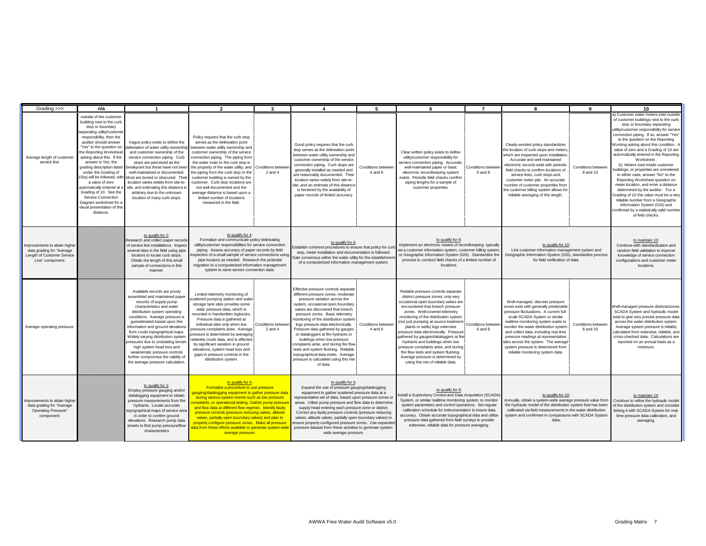| Grading >>>                                                                                                  | n/a                                                                                                                                                                                                                                                                                                                                                                                                                                                                                                                            | $\overline{1}$                                                                                                                                                                                                                                                                                                                                                                                                                                                                                                           | $\overline{2}$                                                                                                                                                                                                                                                                                                                                                                                                                                                                                                                                           | $\mathbf{3}$                     | $\overline{4}$                                                                                                                                                                                                                                                                                                                                                                                                                                                                                                                                                                              | 5                             | 6                                                                                                                                                                                                                                                                                                                                                                                                                                                                                                                                                                                          | $\overline{7}$               | 8                                                                                                                                                                                                                                                                                                                                                                                                                                       | 9                              | 10                                                                                                                                                                                                                                                                                                                                                                                                                                                                                                                                                                                                                                                                                                                                                                                                         |
|--------------------------------------------------------------------------------------------------------------|--------------------------------------------------------------------------------------------------------------------------------------------------------------------------------------------------------------------------------------------------------------------------------------------------------------------------------------------------------------------------------------------------------------------------------------------------------------------------------------------------------------------------------|--------------------------------------------------------------------------------------------------------------------------------------------------------------------------------------------------------------------------------------------------------------------------------------------------------------------------------------------------------------------------------------------------------------------------------------------------------------------------------------------------------------------------|----------------------------------------------------------------------------------------------------------------------------------------------------------------------------------------------------------------------------------------------------------------------------------------------------------------------------------------------------------------------------------------------------------------------------------------------------------------------------------------------------------------------------------------------------------|----------------------------------|---------------------------------------------------------------------------------------------------------------------------------------------------------------------------------------------------------------------------------------------------------------------------------------------------------------------------------------------------------------------------------------------------------------------------------------------------------------------------------------------------------------------------------------------------------------------------------------------|-------------------------------|--------------------------------------------------------------------------------------------------------------------------------------------------------------------------------------------------------------------------------------------------------------------------------------------------------------------------------------------------------------------------------------------------------------------------------------------------------------------------------------------------------------------------------------------------------------------------------------------|------------------------------|-----------------------------------------------------------------------------------------------------------------------------------------------------------------------------------------------------------------------------------------------------------------------------------------------------------------------------------------------------------------------------------------------------------------------------------------|--------------------------------|------------------------------------------------------------------------------------------------------------------------------------------------------------------------------------------------------------------------------------------------------------------------------------------------------------------------------------------------------------------------------------------------------------------------------------------------------------------------------------------------------------------------------------------------------------------------------------------------------------------------------------------------------------------------------------------------------------------------------------------------------------------------------------------------------------|
| Average length of customer<br>service line:                                                                  | outside of the customer<br>building next to the curb<br>stop or boundary<br>eparating utility/custome<br>responsibility, then the<br>auditor should answer<br>"Yes" to the question on<br>he Reporting Worksheet<br>asking about this. If the<br>answer is Yes, the<br>grading description listed<br>under the Grading of<br>0(a) will be followed, with<br>a value of zero<br>automatically entered at<br>Grading of 10. See the<br>Service Connection<br>Diagram worksheet for a<br>visual presentation of this<br>distance. | Vague policy exists to define the<br>lelineation of water utility ownership<br>and customer ownership of the<br>service connection piping. Curb<br>stops are perceived as the<br>breakpoint but these have not been<br>well-maintained or documented.<br>Most are buried or obscured. Their<br>location varies widely from site-to-<br>site, and estimating this distance is<br>arbitrary due to the unknown<br>location of many curb stops.                                                                             | Policy requires that the curb stop<br>serves as the delineation point<br>etween water utility ownership and<br>customer ownership of the service<br>connection piping. The piping from<br>the water main to the curb stop is<br>the property of the water utility; and Conditions between<br>the piping from the curb stop to the<br>customer building is owned by the<br>customer. Curb stop locations are<br>not well documented and the<br>average distance is based upon a<br>limited number of locations<br>measured in the field.                  | $2$ and $4$                      | Good policy requires that the curb<br>stop serves as the delineation point<br>between water utility ownership and<br>customer ownership of the service<br>connection piping. Curb stops are<br>generally installed as needed and<br>are reasonably documented. Their<br>location varies widely from site-to-<br>site, and an estimate of this distance<br>is hindered by the availability of<br>paper records of limited accuracy.                                                                                                                                                          | Conditions between<br>4 and 6 | Clear written policy exists to define<br>utility/customer responsibility for<br>service connection piping. Accurate<br>well-maintained paper or basic<br>electronic recordkeeping system<br>exists. Periodic field checks confirm<br>piping lengths for a sample of<br>customer properties.                                                                                                                                                                                                                                                                                                | Conditions betwee<br>6 and 8 | Clearly worded policy standardizes<br>the location of curb stops and meters.<br>which are inspected upon installation.<br>Accurate and well maintained<br>electronic records exist with periodic<br>field checks to confirm locations of<br>service lines, curb stops and<br>customer meter pits. An accurate<br>number of customer properties from<br>the customer billing system allows for<br>reliable averaging of this length.     | Conditions between<br>8 and 10 | a) Customer water meters exist outside<br>of customer buildings next to the curb<br>stop or boundary separating<br>utility/customer responsibility for service<br>connection piping. If so, answer "Yes'<br>to the question on the Reporting<br>Working asking about this condition. A<br>value of zero and a Grading of 10 are<br>automatically entered in the Reporting<br>Worksheet<br>b). Meters exist inside customer<br>puildings, or properties are unmetered<br>In either case, answer "No" to the<br>Reporting Worksheet question on<br>meter location, and enter a distance<br>determined by the auditor. For a<br>Grading of 10 this value must be a very<br>reliable number from a Geographic<br>Information System (GIS) and<br>confirmed by a statistically valid number<br>of field checks. |
| Improvements to attain higher<br>data grading for "Average<br>Length of Customer Service<br>Line" component: |                                                                                                                                                                                                                                                                                                                                                                                                                                                                                                                                | to qualify for 2:<br>Research and collect paper records<br>of service line installations. Inspect<br>several sites in the field using pipe<br>locators to locate curb stops.<br>Obtain the length of this small<br>sample of connections in this<br>manner.                                                                                                                                                                                                                                                              | to qualify for 4:<br>Formalize and communicate policy delineating<br>utility/customer responsibilities for service connection<br>piping. Assess accuracy of paper records by field<br>spection of a small sample of service connections using<br>pipe locators as needed. Research the potential<br>migration to a computerized information management<br>system to store service connection data.                                                                                                                                                       |                                  | to qualify for 6:<br>Establish coherent procedures to ensure that policy for curb<br>stop, meter installation and documentation is followed.<br>Gain consensus within the water utility for the establishme<br>of a computerized information management system.                                                                                                                                                                                                                                                                                                                             |                               | to qualify for 8:<br>Implement an electronic means of recordkeeping, typically<br>via a customer information system, customer billing system<br>or Geographic Information System (GIS). Standardize the<br>process to conduct field checks of a limited number of<br>locations.                                                                                                                                                                                                                                                                                                            |                              | to qualify for 10:<br>Link customer information management system and<br>Geographic Information System (GIS), standardize process<br>for field verification of data                                                                                                                                                                                                                                                                     |                                | to maintain 10:<br>Continue with standardization and<br>random field validation to improve<br>knowledge of service connection<br>configurations and customer meter<br>locations                                                                                                                                                                                                                                                                                                                                                                                                                                                                                                                                                                                                                            |
| Average operating pressure:                                                                                  |                                                                                                                                                                                                                                                                                                                                                                                                                                                                                                                                | Available records are poorly<br>assembled and maintained paper<br>records of supply pump<br>characteristics and water<br>distribution system operating<br>conditions. Average pressure is<br>quesstimated based upon this<br>information and ground elevations<br>from crude topographical maps.<br>Widely varying distribution system<br>pressures due to undulating terrain,<br>high system head loss and<br>weak/erratic pressure controls<br>further compromise the validity of<br>the average pressure calculation. | Limited telemetry monitoring of<br>cattered pumping station and water<br>storage tank sites provides some<br>static pressure data, which is<br>ecorded in handwritten logbooks<br>Pressure data is gathered at<br>individual sites only when low<br>ressure complaints arise. Average<br>ressure is determined by averaging<br>elatively crude data, and is affected<br>by significant variation in ground<br>elevations, system head loss and<br>gaps in pressure controls in the<br>distribution system.                                               | Conditions betwee<br>$2$ and $4$ | Effective pressure controls separate<br>different pressure zones; moderate<br>pressure variation across the<br>system, occasional open boundary<br>valves are discovered that breech<br>pressure zones. Basic telemetry<br>monitoring of the distribution system<br>logs pressure data electronically.<br>Pressure data gathered by gauges<br>or dataloggers at fire hydrants or<br>buildings when low pressure<br>complaints arise, and during fire flow<br>tests and system flushing. Reliable<br>topographical data exists. Average<br>pressure is calculated using this mix<br>of data. | Conditions between<br>4 and 6 | Reliable pressure controls separate<br>distinct pressure zones; only very<br>occasional open boundary valves are<br>encountered that breech pressure<br>zones. Well-covered telemetry<br>monitoring of the distribution system<br>not just pumping at source treatment<br>plants or wells) logs extensive<br>pressure data electronically. Pressure<br>gathered by gauges/dataloggers at fire<br>hydrants and buildings when low<br>pressure complaints arise, and during<br>fire flow tests and system flushing.<br>Average pressure is determined by<br>using this mix of reliable data. | Conditions betwee<br>6 and 8 | Well-managed, discrete pressure<br>zones exist with generally predictable<br>pressure fluctuations. A current full-<br>scale SCADA System or similar<br>realtime monitoring system exists to<br>monitor the water distribution system<br>and collect data, including real time<br>pressure readings at representative<br>sites across the system. The average<br>system pressure is determined from<br>reliable monitoring system data. | Conditions betwee<br>8 and 10  | Well-managed pressure districts/zones,<br>SCADA System and hydraulic model<br>exist to give very precise pressure data<br>across the water distribution system.<br>Average system pressure is reliably<br>calculated from extensive, reliable, and<br>cross-checked data. Calculations are<br>reported on an annual basis as a<br>minimum                                                                                                                                                                                                                                                                                                                                                                                                                                                                  |
| Improvements to attain higher<br>data grading for "Average<br>Operating Pressure"<br>component:              |                                                                                                                                                                                                                                                                                                                                                                                                                                                                                                                                | to qualify for 2:<br>Employ pressure gauging and/or<br>datalogging equipment to obtain<br>pressure measurements from fire<br>hydrants. Locate accurate<br>topographical maps of service area<br>in order to confirm ground<br>elevations. Research pump data<br>sheets to find pump pressure/flow<br>characteristics                                                                                                                                                                                                     | to qualify for 4:<br>Formalize a procedure to use pressure<br>auging/datalogging equipment to gather pressure data<br>during various system events such as low pressure<br>omplaints, or operational testing. Gather pump pressure<br>and flow data at different flow regimes. Identify faulty<br>pressure controls (pressure reducing valves, altitude<br>valves, partially open boundary valves) and plan to<br>properly configure pressure zones. Make all pressure<br>lata from these efforts available to generate system-wide<br>average pressure. |                                  | to qualify for 6:<br>Expand the use of pressure gauging/datalogging<br>equipment to gather scattered pressure data at a<br>representative set of sites, based upon pressure zones or<br>areas. Utilize pump pressure and flow data to determine<br>supply head entering each pressure zone or district.<br>Correct any faulty pressure controls (pressure reducing<br>valves, altitude valves, partially open boundary valves) to<br>ensure properly configured pressure zones. Use expanded<br>pressure dataset from these activities to generate system-<br>wide average pressure.        |                               | to qualify for 8:<br>nstall a Supervisory Control and Data Acquisition (SCADA<br>System, or similar realtime monitoring system, to monitor<br>system parameters and control operations. Set regular<br>calibration schedule for instrumentation to insure data<br>accuracy. Obtain accurate topographical data and utilize<br>pressure data gathered from field surveys to provide<br>extensive, reliable data for pressure averaging.                                                                                                                                                     |                              | to qualify for 10:<br>Annually, obtain a system-wide average pressure value from<br>the hydraulic model of the distribution system that has been<br>calibrated via field measurements in the water distribution<br>system and confirmed in comparisons with SCADA System<br>data.                                                                                                                                                       |                                | to maintain 10:<br>Continue to refine the hydraulic model<br>of the distribution system and consider<br>linking it with SCADA System for real-<br>time pressure data calibration, and<br>averaging.                                                                                                                                                                                                                                                                                                                                                                                                                                                                                                                                                                                                        |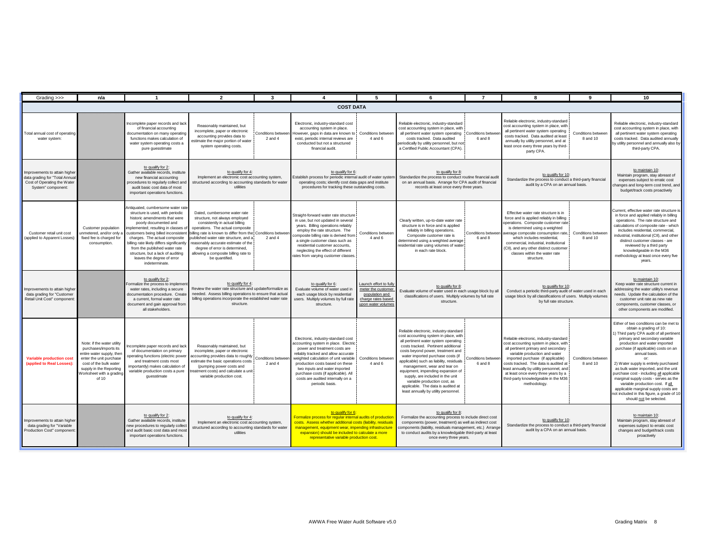| Grading >>>                                                                                                          | n/a                                                                                                                                                                                                   |                                                                                                                                                                                                                                                                                                                                                                             | $\overline{2}$                                                                                                                                                                                                                                                                                                                                                                                                   | 3                                       |                                                                                                                                                                                                                                                                                                                                                                |                                                                                                            | 6                                                                                                                                                                                                                                                                                                                                                                                                                                                                                                           | $\overline{7}$                       | 8                                                                                                                                                                                                                                                                                                                                                                                 |                                | 10                                                                                                                                                                                                                                                                                                                                                                                                                                                                                                                                                                    |
|----------------------------------------------------------------------------------------------------------------------|-------------------------------------------------------------------------------------------------------------------------------------------------------------------------------------------------------|-----------------------------------------------------------------------------------------------------------------------------------------------------------------------------------------------------------------------------------------------------------------------------------------------------------------------------------------------------------------------------|------------------------------------------------------------------------------------------------------------------------------------------------------------------------------------------------------------------------------------------------------------------------------------------------------------------------------------------------------------------------------------------------------------------|-----------------------------------------|----------------------------------------------------------------------------------------------------------------------------------------------------------------------------------------------------------------------------------------------------------------------------------------------------------------------------------------------------------------|------------------------------------------------------------------------------------------------------------|-------------------------------------------------------------------------------------------------------------------------------------------------------------------------------------------------------------------------------------------------------------------------------------------------------------------------------------------------------------------------------------------------------------------------------------------------------------------------------------------------------------|--------------------------------------|-----------------------------------------------------------------------------------------------------------------------------------------------------------------------------------------------------------------------------------------------------------------------------------------------------------------------------------------------------------------------------------|--------------------------------|-----------------------------------------------------------------------------------------------------------------------------------------------------------------------------------------------------------------------------------------------------------------------------------------------------------------------------------------------------------------------------------------------------------------------------------------------------------------------------------------------------------------------------------------------------------------------|
|                                                                                                                      |                                                                                                                                                                                                       |                                                                                                                                                                                                                                                                                                                                                                             |                                                                                                                                                                                                                                                                                                                                                                                                                  |                                         | <b>COST DATA</b>                                                                                                                                                                                                                                                                                                                                               |                                                                                                            |                                                                                                                                                                                                                                                                                                                                                                                                                                                                                                             |                                      |                                                                                                                                                                                                                                                                                                                                                                                   |                                |                                                                                                                                                                                                                                                                                                                                                                                                                                                                                                                                                                       |
| Total annual cost of operating<br>water system:                                                                      |                                                                                                                                                                                                       | Incomplete paper records and lack<br>of financial accounting<br>documentation on many operating<br>functions makes calculation of<br>water system operating costs a<br>pure guesstimate                                                                                                                                                                                     | Reasonably maintained, but<br>incomplete, paper or electronic<br>accounting provides data to<br>stimate the major portion of water<br>system operating costs.                                                                                                                                                                                                                                                    | <b>Conditions betwee</b><br>$2$ and $4$ | Electronic, industry-standard cost<br>accounting system in place.<br>However, gaps in data are known to Conditions betweer<br>exist, periodic internal reviews are<br>conducted but not a structured<br>financial audit.                                                                                                                                       | 4 and 6                                                                                                    | Reliable electronic, industry-standard<br>cost accounting system in place, with<br>all pertinent water system operating   Conditions betwee<br>costs tracked. Data audited<br>eriodically by utility personnel, but not<br>a Certified Public Accountant (CPA).                                                                                                                                                                                                                                             | 6 and 8                              | Reliable electronic, industry-standard<br>cost accounting system in place, with<br>all pertinent water system operating<br>costs tracked. Data audited at least<br>annually by utility personnel, and at<br>least once every three years by third-<br>party CPA.                                                                                                                  | Conditions between<br>8 and 10 | Reliable electronic, industry-standard<br>cost accounting system in place, with<br>all pertinent water system operating<br>costs tracked. Data audited annually<br>by utility personnel and annually also by<br>third-party CPA.                                                                                                                                                                                                                                                                                                                                      |
| Improvements to attain higher<br>data grading for "Total Annual<br>Cost of Operating the Water<br>System" component: |                                                                                                                                                                                                       | to qualify for 2:<br>Gather available records, institute<br>new financial accounting<br>procedures to regularly collect and<br>audit basic cost data of most<br>important operations functions.                                                                                                                                                                             | to qualify for 4<br>Implement an electronic cost accounting system,<br>structured according to accounting standards for water<br>utilities                                                                                                                                                                                                                                                                       |                                         | to qualify for 6:<br>Establish process for periodic internal audit of water system<br>operating costs; identify cost data gaps and institute<br>procedures for tracking these outstanding costs.                                                                                                                                                               |                                                                                                            | to qualify for 8:<br>Standardize the process to conduct routine financial audit<br>on an annual basis. Arrange for CPA audit of financial<br>records at least once every three years.                                                                                                                                                                                                                                                                                                                       |                                      | to qualify for 10:<br>Standardize the process to conduct a third-party financial<br>audit by a CPA on an annual basis.                                                                                                                                                                                                                                                            |                                | to maintain 10:<br>Maintain program, stay abreast of<br>expenses subject to erratic cost<br>changes and long-term cost trend, and<br>budget/track costs proactively                                                                                                                                                                                                                                                                                                                                                                                                   |
| Customer retail unit cost<br>applied to Apparent Losses                                                              | Customer population<br>unmetered, and/or only a<br>fixed fee is charged for<br>consumption.                                                                                                           | Intiquated, cumbersome water rate<br>structure is used, with periodic<br>historic amendments that were<br>poorly documented and<br>implemented; resulting in classes of<br>charges. The actual composite<br>pilling rate likely differs significantly<br>from the published water rate<br>structure, but a lack of auditing<br>leaves the degree of error<br>indeterminate. | Dated, cumbersome water rate<br>structure, not always employed<br>consistently in actual billing<br>operations. The actual composite<br>customers being billed inconsistent billing rate is known to differ from the Conditions betwee<br>ublished water rate structure, and a<br>easonably accurate estimate of the<br>degree of error is determined,<br>allowing a composite billing rate to<br>be quantified. | $2$ and $4$                             | Straight-forward water rate structure<br>in use, but not updated in several<br>years. Billing operations reliably<br>employ the rate structure. The<br>composite billing rate is derived from<br>a single customer class such as<br>residential customer accounts,<br>neglecting the effect of different<br>ates from varying customer classes                 | Conditions between<br>4 and 6                                                                              | Clearly written, up-to-date water rate<br>structure is in force and is applied<br>reliably in billing operations.<br>Composite customer rate is<br>determined using a weighted average<br>residential rate using volumes of water<br>in each rate block.                                                                                                                                                                                                                                                    | Conditions betwee<br>6 and 8         | Effective water rate structure is in<br>force and is applied reliably in billing<br>operations. Composite customer rate<br>is determined using a weighted<br>average composite consumption rate,<br>which includes residential,<br>commercial, industrial, institutional<br>CII), and any other distinct customer<br>classes within the water rate<br>structure.                  | Conditions between<br>8 and 10 | Current, effective water rate structure is<br>in force and applied reliably in billing<br>operations. The rate structure and<br>calculations of composite rate - which<br>includes residential, commercial,<br>industrial, institutional (CII), and other<br>distinct customer classes - are<br>reviewed by a third party<br>knowledgeable in the M36<br>methodology at least once every five<br>years.                                                                                                                                                               |
| Improvements to attain higher<br>data grading for "Customer<br>Retail Unit Cost" component                           |                                                                                                                                                                                                       | to qualify for 2:<br>ormalize the process to implement<br>water rates, including a secure<br>documentation procedure. Create<br>a current, formal water rate<br>document and gain approval from<br>all stakeholders.                                                                                                                                                        | to qualify for 4:<br>Review the water rate structure and update/formalize as<br>needed. Assess billing operations to ensure that actual<br>billing operations incorporate the established water rate<br>structure.                                                                                                                                                                                               |                                         | to qualify for 6:<br>Evaluate volume of water used in<br>each usage block by residential<br>users. Multiply volumes by full rate<br>structure.                                                                                                                                                                                                                 | Launch effort to fully<br>meter the customer<br>population and<br>charge rates based<br>upon water volumes | to qualify for 8:<br>Evaluate volume of water used in each usage block by all<br>classifications of users. Multiply volumes by full rate<br>structure.                                                                                                                                                                                                                                                                                                                                                      |                                      | to qualify for 10:<br>Conduct a periodic third-party audit of water used in each<br>usage block by all classifications of users. Multiply volumes<br>by full rate structure.                                                                                                                                                                                                      |                                | to maintain 10:<br>Keep water rate structure current in<br>addressing the water utility's revenue<br>needs. Update the calculation of the<br>customer unit rate as new rate<br>components, customer classes, or<br>other components are modified.                                                                                                                                                                                                                                                                                                                     |
| <b>Variable production cost</b><br>(applied to Real Losses):                                                         | Note: if the water utility<br>purchases/imports its<br>entire water supply, then<br>enter the unit purchase<br>cost of the bulk water<br>supply in the Reporting<br>Worksheet with a grading<br>of 10 | complete paper records and lack<br>of documentation on primary<br>operating functions (electric power<br>and treatment costs most<br>importantly) makes calculation of<br>variable production costs a pure<br>quesstimate                                                                                                                                                   | Reasonably maintained, but<br>incomplete, paper or electronic<br>ccounting provides data to roughly<br>estimate the basic operations costs<br>(pumping power costs and<br>eatment costs) and calculate a unit<br>variable production cost.                                                                                                                                                                       | Conditions betwee<br>$2$ and $4$        | Electronic, industry-standard cost<br>accounting system in place. Electric<br>power and treatment costs are<br>reliably tracked and allow accurate<br>weighted calculation of unit variable<br>production costs based on these<br>two inputs and water imported<br>purchase costs (if applicable). All<br>costs are audited internally on a<br>periodic basis. | <b>Conditions between</b><br>4 and 6                                                                       | Reliable electronic, industry-standard<br>cost accounting system in place, with<br>all pertinent water system operating<br>costs tracked. Pertinent additional<br>costs beyond power, treatment and<br>water imported purchase costs (if<br>applicable) such as liability, residuals<br>management, wear and tear on<br>equipment, impending expansion of<br>supply, are included in the unit<br>variable production cost, as<br>applicable. The data is audited at<br>least annually by utility personnel. | <b>Conditions betweer</b><br>6 and 8 | Reliable electronic, industry-standard<br>cost accounting system in place, with<br>all pertinent primary and secondary<br>variable production and water<br>imported purchase (if applicable)<br>costs tracked. The data is audited at<br>least annually by utility personnel, and<br>at least once every three years by a<br>third-party knowledgeable in the M36<br>methodology. | Conditions between<br>8 and 10 | Either of two conditions can be met to<br>obtain a grading of 10:<br>1) Third party CPA audit of all pertinent<br>primary and secondary variable<br>production and water imported<br>purchase (if applicable) costs on an<br>annual basis.<br>2) Water supply is entirely purchased<br>as bulk water imported, and the unit<br>purchase cost - including all applicable<br>marginal supply costs - serves as the<br>variable production cost. If all<br>applicable marginal supply costs are<br>not included in this figure, a grade of 10<br>should not be selected. |
| Improvements to attain higher<br>data grading for "Variable<br>Production Cost" componen                             |                                                                                                                                                                                                       | to qualify for 2:<br>Gather available records, institute<br>new procedures to regularly collect<br>and audit basic cost data and most<br>important operations functions.                                                                                                                                                                                                    | to qualify for 4:<br>Implement an electronic cost accounting system,<br>structured according to accounting standards for water<br>utilities                                                                                                                                                                                                                                                                      |                                         | to qualify for 6:<br>Formalize process for regular internal audits of production<br>costs. Assess whether additional costs (liability, residuals<br>management, equipment wear, impending infrastructure<br>expansion) should be included to calculate a more<br>representative variable production cost.                                                      |                                                                                                            | to qualify for 8:<br>Formalize the accounting process to include direct cost<br>components (power, treatment) as well as indirect cost<br>components (liability, residuals management, etc.) Arrange<br>to conduct audits by a knowledgable third-party at least<br>once every three years.                                                                                                                                                                                                                 |                                      | to qualify for 10<br>Standardize the process to conduct a third-party financial<br>audit by a CPA on an annual basis.                                                                                                                                                                                                                                                             |                                | to maintain 10:<br>Maintain program, stay abreast of<br>expenses subject to erratic cost<br>changes and budget/track costs<br>proactively                                                                                                                                                                                                                                                                                                                                                                                                                             |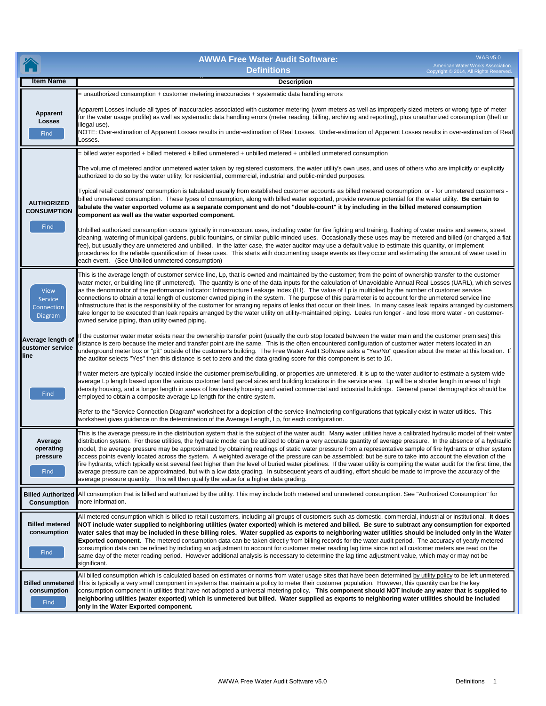|                                                        | <b>WAS v5.0</b><br><b>AWWA Free Water Audit Software:</b><br>American Water Works Association.<br><b>Definitions</b><br>Copyright © 2014, All Rights Reserved.                                                                                                                                                                                                                                                                                                                                                                                                                                                                                                                                                                                                                                                                                                                                                                                                                                                                                                                                                   |
|--------------------------------------------------------|------------------------------------------------------------------------------------------------------------------------------------------------------------------------------------------------------------------------------------------------------------------------------------------------------------------------------------------------------------------------------------------------------------------------------------------------------------------------------------------------------------------------------------------------------------------------------------------------------------------------------------------------------------------------------------------------------------------------------------------------------------------------------------------------------------------------------------------------------------------------------------------------------------------------------------------------------------------------------------------------------------------------------------------------------------------------------------------------------------------|
| ltem Name                                              | <b>Description</b>                                                                                                                                                                                                                                                                                                                                                                                                                                                                                                                                                                                                                                                                                                                                                                                                                                                                                                                                                                                                                                                                                               |
|                                                        | unauthorized consumption + customer metering inaccuracies + systematic data handling errors                                                                                                                                                                                                                                                                                                                                                                                                                                                                                                                                                                                                                                                                                                                                                                                                                                                                                                                                                                                                                      |
| Apparent<br>Losses<br>Find                             | Apparent Losses include all types of inaccuracies associated with customer metering (worn meters as well as improperly sized meters or wrong type of meter<br>for the water usage profile) as well as systematic data handling errors (meter reading, billing, archiving and reporting), plus unauthorized consumption (theft or<br>illegal use).<br>NOTE: Over-estimation of Apparent Losses results in under-estimation of Real Losses. Under-estimation of Apparent Losses results in over-estimation of Real<br>_osses.                                                                                                                                                                                                                                                                                                                                                                                                                                                                                                                                                                                      |
|                                                        |                                                                                                                                                                                                                                                                                                                                                                                                                                                                                                                                                                                                                                                                                                                                                                                                                                                                                                                                                                                                                                                                                                                  |
|                                                        | = billed water exported + billed metered + billed unmetered + unbilled metered + unbilled unmetered consumption<br>The volume of metered and/or unmetered water taken by registered customers, the water utility's own uses, and uses of others who are implicitly or explicitly<br>authorized to do so by the water utility; for residential, commercial, industrial and public-minded purposes.<br>Typical retail customers' consumption is tabulated usually from established customer accounts as billed metered consumption, or - for unmetered customers -<br>billed unmetered consumption. These types of consumption, along with billed water exported, provide revenue potential for the water utility. Be certain to                                                                                                                                                                                                                                                                                                                                                                                   |
| <b>AUTHORIZED</b><br><b>CONSUMPTION</b><br>Find        | tabulate the water exported volume as a separate component and do not "double-count" it by including in the billed metered consumption<br>component as well as the water exported component.                                                                                                                                                                                                                                                                                                                                                                                                                                                                                                                                                                                                                                                                                                                                                                                                                                                                                                                     |
|                                                        | Unbilled authorized consumption occurs typically in non-account uses, including water for fire fighting and training, flushing of water mains and sewers, street<br>cleaning, watering of municipal gardens, public fountains, or similar public-minded uses. Occasionally these uses may be metered and billed (or charged a flat<br>fee), but usually they are unmetered and unbilled. In the latter case, the water auditor may use a default value to estimate this quantity, or implement<br>procedures for the reliable quantification of these uses. This starts with documenting usage events as they occur and estimating the amount of water used in<br>each event. (See Unbilled unmetered consumption)                                                                                                                                                                                                                                                                                                                                                                                               |
| <b>View</b><br>Service<br>Connection<br><b>Diagram</b> | This is the average length of customer service line, Lp, that is owned and maintained by the customer; from the point of ownership transfer to the customer<br>water meter, or building line (if unmetered). The quantity is one of the data inputs for the calculation of Unavoidable Annual Real Losses (UARL), which serves<br>as the denominator of the performance indicator: Infrastructure Leakage Index (ILI). The value of Lp is multiplied by the number of customer service<br>connections to obtain a total length of customer owned piping in the system. The purpose of this parameter is to account for the unmetered service line<br>infrastructure that is the responsibility of the customer for arranging repairs of leaks that occur on their lines. In many cases leak repairs arranged by customers<br>take longer to be executed than leak repairs arranged by the water utility on utility-maintained piping. Leaks run longer - and lose more water - on customer-<br>owned service piping, than utility owned piping.                                                                  |
| Average length of<br>customer service<br>line          | If the customer water meter exists near the ownership transfer point (usually the curb stop located between the water main and the customer premises) this<br>distance is zero because the meter and transfer point are the same. This is the often encountered configuration of customer water meters located in an<br>underground meter box or "pit" outside of the customer's building. The Free Water Audit Software asks a "Yes/No" question about the meter at this location. If<br>the auditor selects "Yes" then this distance is set to zero and the data grading score for this component is set to 10.                                                                                                                                                                                                                                                                                                                                                                                                                                                                                                |
| Find                                                   | If water meters are typically located inside the customer premise/building, or properties are unmetered, it is up to the water auditor to estimate a system-wide<br>average Lp length based upon the various customer land parcel sizes and building locations in the service area. Lp will be a shorter length in areas of high<br>density housing, and a longer length in areas of low density housing and varied commercial and industrial buildings. General parcel demographics should be<br>employed to obtain a composite average Lp length for the entire system.                                                                                                                                                                                                                                                                                                                                                                                                                                                                                                                                        |
|                                                        | Refer to the "Service Connection Diagram" worksheet for a depiction of the service line/metering configurations that typically exist in water utilities. This<br>worksheet gives guidance on the determination of the Average Length, Lp, for each configuration.                                                                                                                                                                                                                                                                                                                                                                                                                                                                                                                                                                                                                                                                                                                                                                                                                                                |
| Average<br>operating<br>pressure<br>Find               | This is the average pressure in the distribution system that is the subject of the water audit. Many water utilities have a calibrated hydraulic model of their water<br>distribution system. For these utilities, the hydraulic model can be utilized to obtain a very accurate quantity of average pressure. In the absence of a hydraulic<br>model, the average pressure may be approximated by obtaining readings of static water pressure from a representative sample of fire hydrants or other system<br>access points evenly located across the system. A weighted average of the pressure can be assembled; but be sure to take into account the elevation of the<br>fire hydrants, which typically exist several feet higher than the level of buried water pipelines. If the water utility is compiling the water audit for the first time, the<br>average pressure can be approximated, but with a low data grading. In subsequent years of auditing, effort should be made to improve the accuracy of the<br>average pressure quantity. This will then qualify the value for a higher data grading. |
| <b>Billed Authorized</b><br><b>Consumption</b>         | All consumption that is billed and authorized by the utility. This may include both metered and unmetered consumption. See "Authorized Consumption" for<br>more information.                                                                                                                                                                                                                                                                                                                                                                                                                                                                                                                                                                                                                                                                                                                                                                                                                                                                                                                                     |
| <b>Billed metered</b><br>consumption<br>Find           | All metered consumption which is billed to retail customers, including all groups of customers such as domestic, commercial, industrial or institutional. It does<br>NOT include water supplied to neighboring utilities (water exported) which is metered and billed. Be sure to subtract any consumption for exported<br>water sales that may be included in these billing roles. Water supplied as exports to neighboring water utilities should be included only in the Water<br>Exported component. The metered consumption data can be taken directly from billing records for the water audit period. The accuracy of yearly metered<br>consumption data can be refined by including an adjustment to account for customer meter reading lag time since not all customer meters are read on the<br>same day of the meter reading period. However additional analysis is necessary to determine the lag time adjustment value, which may or may not be<br>significant.                                                                                                                                     |
| <b>Billed unmetered</b><br>consumption<br>Find         | All billed consumption which is calculated based on estimates or norms from water usage sites that have been determined by utility policy to be left unmetered.<br>This is typically a very small component in systems that maintain a policy to meter their customer population. However, this quantity can be the key<br>consumption component in utilities that have not adopted a universal metering policy. This component should NOT include any water that is supplied to<br>neighboring utilities (water exported) which is unmetered but billed. Water supplied as exports to neighboring water utilities should be included<br>only in the Water Exported component.                                                                                                                                                                                                                                                                                                                                                                                                                                   |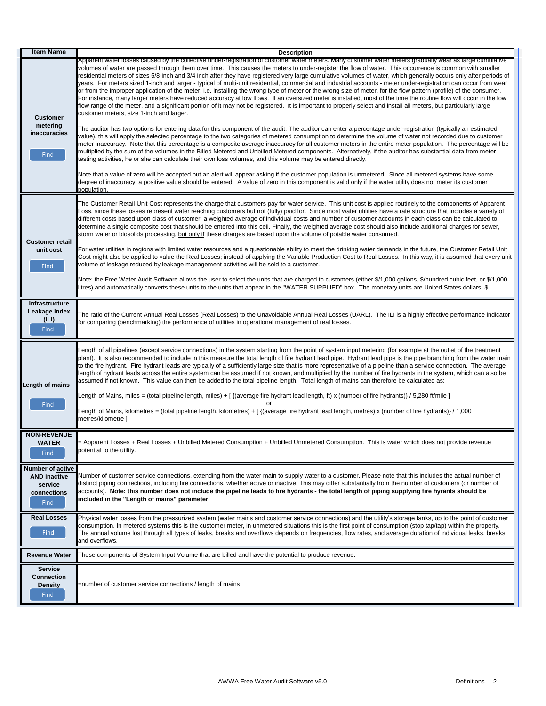| <b>Item Name</b>                                                          | <b>Description</b>                                                                                                                                                                                                                                                                                                                                                                                                                                                                                                                                                                                                                                                                                                                                                                                                                                                                                                                                                                                                                                                                                                                                                                                                      |
|---------------------------------------------------------------------------|-------------------------------------------------------------------------------------------------------------------------------------------------------------------------------------------------------------------------------------------------------------------------------------------------------------------------------------------------------------------------------------------------------------------------------------------------------------------------------------------------------------------------------------------------------------------------------------------------------------------------------------------------------------------------------------------------------------------------------------------------------------------------------------------------------------------------------------------------------------------------------------------------------------------------------------------------------------------------------------------------------------------------------------------------------------------------------------------------------------------------------------------------------------------------------------------------------------------------|
| <b>Customer</b><br>metering                                               | Apparent water losses caused by the collective under-registration of customer water meters. Many customer water meters gradually wear as large cumulative<br>volumes of water are passed through them over time. This causes the meters to under-register the flow of water. This occurrence is common with smaller<br>residential meters of sizes 5/8-inch and 3/4 inch after they have registered very large cumulative volumes of water, which generally occurs only after periods of<br>years. For meters sized 1-inch and larger - typical of multi-unit residential, commercial and industrial accounts - meter under-registration can occur from wear<br>or from the improper application of the meter; i.e. installing the wrong type of meter or the wrong size of meter, for the flow pattern (profile) of the consumer.<br>For instance, many larger meters have reduced accuracy at low flows. If an oversized meter is installed, most of the time the routine flow will occur in the low<br>flow range of the meter, and a significant portion of it may not be registered. It is important to properly select and install all meters, but particularly large<br>customer meters, size 1-inch and larger. |
| inaccuracies<br>Find                                                      | The auditor has two options for entering data for this component of the audit. The auditor can enter a percentage under-registration (typically an estimated<br>value), this will apply the selected percentage to the two categories of metered consumption to determine the volume of water not recorded due to customer<br>meter inaccuracy. Note that this percentage is a composite average inaccuracy for all customer meters in the entire meter population. The percentage will be<br>multiplied by the sum of the volumes in the Billed Metered and Unbilled Metered components. Alternatively, if the auditor has substantial data from meter<br>testing activities, he or she can calculate their own loss volumes, and this volume may be entered directly.<br>Note that a value of zero will be accepted but an alert will appear asking if the customer population is unmetered. Since all metered systems have some                                                                                                                                                                                                                                                                                      |
|                                                                           | degree of inaccuracy, a positive value should be entered. A value of zero in this component is valid only if the water utility does not meter its customer<br>population.                                                                                                                                                                                                                                                                                                                                                                                                                                                                                                                                                                                                                                                                                                                                                                                                                                                                                                                                                                                                                                               |
| <b>Customer retail</b>                                                    | The Customer Retail Unit Cost represents the charge that customers pay for water service. This unit cost is applied routinely to the components of Apparent<br>Loss, since these losses represent water reaching customers but not (fully) paid for. Since most water utilities have a rate structure that includes a variety of<br>different costs based upon class of customer, a weighted average of individual costs and number of customer accounts in each class can be calculated to<br>determine a single composite cost that should be entered into this cell. Finally, the weighted average cost should also include additional charges for sewer,<br>storm water or biosolids processing, but only if these charges are based upon the volume of potable water consumed.                                                                                                                                                                                                                                                                                                                                                                                                                                     |
| unit cost<br>Find                                                         | For water utilities in regions with limited water resources and a questionable ability to meet the drinking water demands in the future, the Customer Retail Unit<br>Cost might also be applied to value the Real Losses; instead of applying the Variable Production Cost to Real Losses. In this way, it is assumed that every unit<br>volume of leakage reduced by leakage management activities will be sold to a customer.                                                                                                                                                                                                                                                                                                                                                                                                                                                                                                                                                                                                                                                                                                                                                                                         |
|                                                                           | Note: the Free Water Audit Software allows the user to select the units that are charged to customers (either \$/1,000 gallons, \$/hundred cubic feet, or \$/1,000<br>itres) and automatically converts these units to the units that appear in the "WATER SUPPLIED" box. The monetary units are United States dollars, \$.                                                                                                                                                                                                                                                                                                                                                                                                                                                                                                                                                                                                                                                                                                                                                                                                                                                                                             |
| Infrastructure<br>Leakage Index<br>(ILI)<br>Find                          | The ratio of the Current Annual Real Losses (Real Losses) to the Unavoidable Annual Real Losses (UARL). The ILI is a highly effective performance indicator<br>for comparing (benchmarking) the performance of utilities in operational management of real losses.                                                                                                                                                                                                                                                                                                                                                                                                                                                                                                                                                                                                                                                                                                                                                                                                                                                                                                                                                      |
| Length of mains                                                           | Length of all pipelines (except service connections) in the system starting from the point of system input metering (for example at the outlet of the treatment<br>plant). It is also recommended to include in this measure the total length of fire hydrant lead pipe. Hydrant lead pipe is the pipe branching from the water main<br>to the fire hydrant. Fire hydrant leads are typically of a sufficiently large size that is more representative of a pipeline than a service connection. The average<br>length of hydrant leads across the entire system can be assumed if not known, and multiplied by the number of fire hydrants in the system, which can also be<br>assumed if not known. This value can then be added to the total pipeline length. Total length of mains can therefore be calculated as:                                                                                                                                                                                                                                                                                                                                                                                                   |
|                                                                           | Length of Mains, miles = (total pipeline length, miles) + [ {(average fire hydrant lead length, ft) x (number of fire hydrants)} / 5,280 ft/mile ]<br>or                                                                                                                                                                                                                                                                                                                                                                                                                                                                                                                                                                                                                                                                                                                                                                                                                                                                                                                                                                                                                                                                |
| Find                                                                      | Length of Mains, kilometres = (total pipeline length, kilometres) + [ {(average fire hydrant lead length, metres) x (number of fire hydrants)} / 1,000<br>metres/kilometre ]                                                                                                                                                                                                                                                                                                                                                                                                                                                                                                                                                                                                                                                                                                                                                                                                                                                                                                                                                                                                                                            |
| <b>NON-REVENUE</b><br><b>WATER</b><br>Find                                | = Apparent Losses + Real Losses + Unbilled Metered Consumption + Unbilled Unmetered Consumption. This is water which does not provide revenue<br>potential to the utility.                                                                                                                                                                                                                                                                                                                                                                                                                                                                                                                                                                                                                                                                                                                                                                                                                                                                                                                                                                                                                                              |
| Number of active<br><b>AND inactive</b><br>service<br>connections<br>Find | Number of customer service connections, extending from the water main to supply water to a customer. Please note that this includes the actual number of<br>distinct piping connections, including fire connections, whether active or inactive. This may differ substantially from the number of customers (or number of<br>accounts). Note: this number does not include the pipeline leads to fire hydrants - the total length of piping supplying fire hyrants should be<br>included in the "Length of mains" parameter.                                                                                                                                                                                                                                                                                                                                                                                                                                                                                                                                                                                                                                                                                            |
| <b>Real Losses</b><br>Find                                                | Physical water losses from the pressurized system (water mains and customer service connections) and the utility's storage tanks, up to the point of customer<br>consumption. In metered systems this is the customer meter, in unmetered situations this is the first point of consumption (stop tap/tap) within the property.<br>The annual volume lost through all types of leaks, breaks and overflows depends on frequencies, flow rates, and average duration of individual leaks, breaks<br>and overflows.                                                                                                                                                                                                                                                                                                                                                                                                                                                                                                                                                                                                                                                                                                       |
| <b>Revenue Water</b>                                                      | Those components of System Input Volume that are billed and have the potential to produce revenue.                                                                                                                                                                                                                                                                                                                                                                                                                                                                                                                                                                                                                                                                                                                                                                                                                                                                                                                                                                                                                                                                                                                      |
| <b>Service</b><br><b>Connection</b><br><b>Density</b><br>Find             | =number of customer service connections / length of mains                                                                                                                                                                                                                                                                                                                                                                                                                                                                                                                                                                                                                                                                                                                                                                                                                                                                                                                                                                                                                                                                                                                                                               |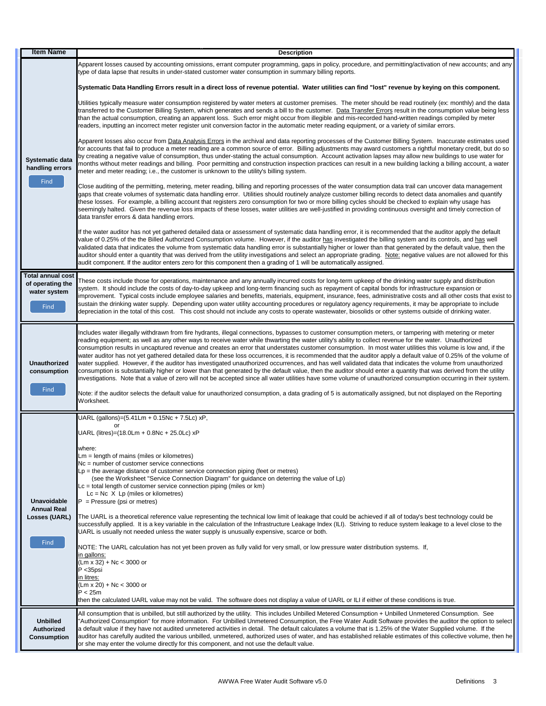| <b>Item Name</b>                                                         | <b>Description</b>                                                                                                                                                                                                                                                                                                                                                                                                                                                                                                                                                                                                                                                                                                                                                                                                                                                                                                                                                                                                                                                                                                                                                                                                                                                                                                                             |  |  |  |  |
|--------------------------------------------------------------------------|------------------------------------------------------------------------------------------------------------------------------------------------------------------------------------------------------------------------------------------------------------------------------------------------------------------------------------------------------------------------------------------------------------------------------------------------------------------------------------------------------------------------------------------------------------------------------------------------------------------------------------------------------------------------------------------------------------------------------------------------------------------------------------------------------------------------------------------------------------------------------------------------------------------------------------------------------------------------------------------------------------------------------------------------------------------------------------------------------------------------------------------------------------------------------------------------------------------------------------------------------------------------------------------------------------------------------------------------|--|--|--|--|
| Systematic data<br>handling errors<br>Find                               | Apparent losses caused by accounting omissions, errant computer programming, gaps in policy, procedure, and permitting/activation of new accounts; and any<br>type of data lapse that results in under-stated customer water consumption in summary billing reports.                                                                                                                                                                                                                                                                                                                                                                                                                                                                                                                                                                                                                                                                                                                                                                                                                                                                                                                                                                                                                                                                           |  |  |  |  |
|                                                                          | Systematic Data Handling Errors result in a direct loss of revenue potential. Water utilities can find "lost" revenue by keying on this component.                                                                                                                                                                                                                                                                                                                                                                                                                                                                                                                                                                                                                                                                                                                                                                                                                                                                                                                                                                                                                                                                                                                                                                                             |  |  |  |  |
|                                                                          | Utilities typically measure water consumption registered by water meters at customer premises. The meter should be read routinely (ex: monthly) and the data<br>transferred to the Customer Billing System, which generates and sends a bill to the customer. Data Transfer Errors result in the consumption value being less<br>than the actual consumption, creating an apparent loss. Such error might occur from illegible and mis-recorded hand-written readings compiled by meter<br>readers, inputting an incorrect meter register unit conversion factor in the automatic meter reading equipment, or a variety of similar errors.                                                                                                                                                                                                                                                                                                                                                                                                                                                                                                                                                                                                                                                                                                     |  |  |  |  |
|                                                                          | Apparent losses also occur from Data Analysis Errors in the archival and data reporting processes of the Customer Billing System. Inaccurate estimates used<br>for accounts that fail to produce a meter reading are a common source of error. Billing adjustments may award customers a rightful monetary credit, but do so<br>by creating a negative value of consumption, thus under-stating the actual consumption. Account activation lapses may allow new buildings to use water for<br>months without meter readings and billing. Poor permitting and construction inspection practices can result in a new building lacking a billing account, a water<br>meter and meter reading; i.e., the customer is unknown to the utility's billing system.                                                                                                                                                                                                                                                                                                                                                                                                                                                                                                                                                                                      |  |  |  |  |
|                                                                          | Close auditing of the permitting, metering, meter reading, billing and reporting processes of the water consumption data trail can uncover data management<br>gaps that create volumes of systematic data handling error. Utilities should routinely analyze customer billing records to detect data anomalies and quantify<br>these losses. For example, a billing account that registers zero consumption for two or more billing cycles should be checked to explain why usage has<br>seemingly halted. Given the revenue loss impacts of these losses, water utilities are well-justified in providing continuous oversight and timely correction of<br>data transfer errors & data handling errors.                                                                                                                                                                                                                                                                                                                                                                                                                                                                                                                                                                                                                                       |  |  |  |  |
|                                                                          | If the water auditor has not yet gathered detailed data or assessment of systematic data handling error, it is recommended that the auditor apply the default<br>value of 0.25% of the the Billed Authorized Consumption volume. However, if the auditor has investigated the billing system and its controls, and has well<br>validated data that indicates the volume from systematic data handling error is substantially higher or lower than that generated by the default value, then the<br>auditor should enter a quantity that was derived from the utility investigations and select an appropriate grading. Note: negative values are not allowed for this<br>audit component. If the auditor enters zero for this component then a grading of 1 will be automatically assigned.                                                                                                                                                                                                                                                                                                                                                                                                                                                                                                                                                    |  |  |  |  |
| <b>Total annual cost</b><br>of operating the<br>water system<br>Find     | These costs include those for operations, maintenance and any annually incurred costs for long-term upkeep of the drinking water supply and distribution<br>system. It should include the costs of day-to-day upkeep and long-term financing such as repayment of capital bonds for infrastructure expansion or<br>mprovement. Typical costs include employee salaries and benefits, materials, equipment, insurance, fees, administrative costs and all other costs that exist to<br>sustain the drinking water supply. Depending upon water utility accounting procedures or regulatory agency requirements, it may be appropriate to include<br>depreciation in the total of this cost. This cost should not include any costs to operate wastewater, biosolids or other systems outside of drinking water.                                                                                                                                                                                                                                                                                                                                                                                                                                                                                                                                 |  |  |  |  |
| <b>Unauthorized</b><br>consumption<br>Find                               | Includes water illegally withdrawn from fire hydrants, illegal connections, bypasses to customer consumption meters, or tampering with metering or meter<br>reading equipment; as well as any other ways to receive water while thwarting the water utility's ability to collect revenue for the water. Unauthorized<br>consumption results in uncaptured revenue and creates an error that understates customer consumption. In most water utilities this volume is low and, if the<br>water auditor has not yet gathered detailed data for these loss occurrences, it is recommended that the auditor apply a default value of 0.25% of the volume of<br>water supplied. However, if the auditor has investigated unauthorized occurrences, and has well validated data that indicates the volume from unauthorized<br>consumption is substantially higher or lower than that generated by the default value, then the auditor should enter a quantity that was derived from the utility<br>investigations. Note that a value of zero will not be accepted since all water utilities have some volume of unauthorized consumption occurring in their system.<br>Note: if the auditor selects the default value for unauthorized consumption, a data grading of 5 is automatically assigned, but not displayed on the Reporting<br>Worksheet. |  |  |  |  |
|                                                                          | UARL (gallons)=(5.41Lm + 0.15Nc + 7.5Lc) xP,                                                                                                                                                                                                                                                                                                                                                                                                                                                                                                                                                                                                                                                                                                                                                                                                                                                                                                                                                                                                                                                                                                                                                                                                                                                                                                   |  |  |  |  |
| <b>Unavoidable</b><br><b>Annual Real</b><br><b>Losses (UARL)</b><br>Find | UARL (litres)=(18.0Lm + 0.8Nc + 25.0Lc) xP<br>where:<br>$Lm = length of mains (miles or kilometer)$<br>Nc = number of customer service connections<br>$Lp =$ the average distance of customer service connection piping (feet or metres)<br>(see the Worksheet "Service Connection Diagram" for guidance on deterring the value of Lp)<br>$Lc =$ total length of customer service connection piping (miles or $km$ )<br>$Lc = Nc \times Lp$ (miles or kilometres)<br>$P =$ Pressure (psi or metres)<br>The UARL is a theoretical reference value representing the technical low limit of leakage that could be achieved if all of today's best technology could be<br>successfully applied. It is a key variable in the calculation of the Infrastructure Leakage Index (ILI). Striving to reduce system leakage to a level close to the<br>UARL is usually not needed unless the water supply is unusually expensive, scarce or both.<br>NOTE: The UARL calculation has not yet been proven as fully valid for very small, or low pressure water distribution systems. If,<br><u>in gallons:</u><br>(Lm x 32) + Nc < 3000 or<br>P <35psi<br>in litres:<br>(Lm x 20) + Nc < 3000 or<br>P < 25m<br>then the calculated UARL value may not be valid. The software does not display a value of UARL or ILI if either of these conditions is true. |  |  |  |  |
| <b>Unbilled</b><br>Authorized<br>Consumption                             | All consumption that is unbilled, but still authorized by the utility. This includes Unbilled Metered Consumption + Unbilled Unmetered Consumption. See<br>'Authorized Consumption" for more information. For Unbilled Unmetered Consumption, the Free Water Audit Software provides the auditor the option to select<br>a default value if they have not audited unmetered activities in detail. The default calculates a volume that is 1.25% of the Water Supplied volume. If the<br>auditor has carefully audited the various unbilled, unmetered, authorized uses of water, and has established reliable estimates of this collective volume, then he<br>or she may enter the volume directly for this component, and not use the default value.                                                                                                                                                                                                                                                                                                                                                                                                                                                                                                                                                                                          |  |  |  |  |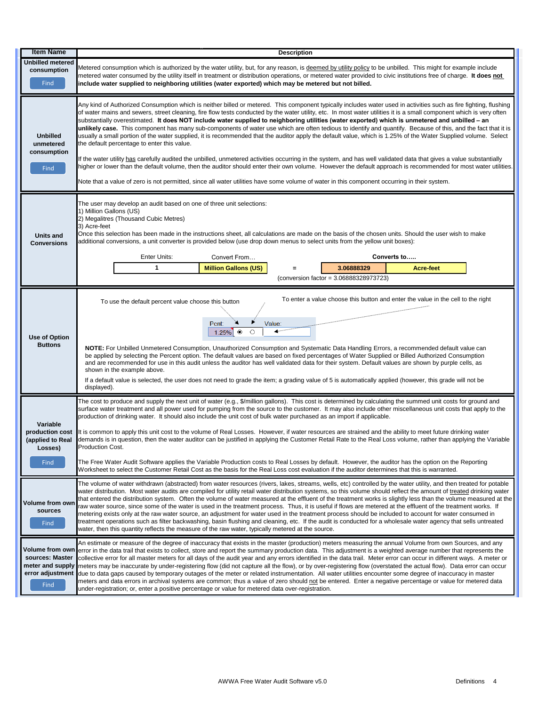| <b>Item Name</b>                                                   | <b>Description</b>                                                                                                                                                                                                                                                                                                                                                                                                                                                                                                                                                                                                                                                                                                                                                                                                                                                                                                                                                                                                                                                                                                                                                                                                                                                                                                                                                     |  |  |  |  |
|--------------------------------------------------------------------|------------------------------------------------------------------------------------------------------------------------------------------------------------------------------------------------------------------------------------------------------------------------------------------------------------------------------------------------------------------------------------------------------------------------------------------------------------------------------------------------------------------------------------------------------------------------------------------------------------------------------------------------------------------------------------------------------------------------------------------------------------------------------------------------------------------------------------------------------------------------------------------------------------------------------------------------------------------------------------------------------------------------------------------------------------------------------------------------------------------------------------------------------------------------------------------------------------------------------------------------------------------------------------------------------------------------------------------------------------------------|--|--|--|--|
| <b>Unbilled metered</b><br>consumption<br>Find                     | Metered consumption which is authorized by the water utility, but, for any reason, is deemed by utility policy to be unbilled. This might for example include<br>metered water consumed by the utility itself in treatment or distribution operations, or metered water provided to civic institutions free of charge. It does not<br>include water supplied to neighboring utilities (water exported) which may be metered but not billed.                                                                                                                                                                                                                                                                                                                                                                                                                                                                                                                                                                                                                                                                                                                                                                                                                                                                                                                            |  |  |  |  |
| <b>Unbilled</b><br>unmetered<br>consumption<br>Find                | Any kind of Authorized Consumption which is neither billed or metered. This component typically includes water used in activities such as fire fighting, flushing<br>of water mains and sewers, street cleaning, fire flow tests conducted by the water utility, etc. In most water utilities it is a small component which is very often<br>substantially overestimated. It does NOT include water supplied to neighboring utilities (water exported) which is unmetered and unbilled - an<br>unlikely case. This component has many sub-components of water use which are often tedious to identify and quantify. Because of this, and the fact that it is<br>usually a small portion of the water supplied, it is recommended that the auditor apply the default value, which is 1.25% of the Water Supplied volume. Select<br>the default percentage to enter this value.<br>If the water utility has carefully audited the unbilled, unmetered activities occurring in the system, and has well validated data that gives a value substantially<br>higher or lower than the default volume, then the auditor should enter their own volume. However the default approach is recommended for most water utilities.<br>Note that a value of zero is not permitted, since all water utilities have some volume of water in this component occurring in their system. |  |  |  |  |
| Units and<br><b>Conversions</b>                                    | The user may develop an audit based on one of three unit selections:<br>1) Million Gallons (US)<br>2) Megalitres (Thousand Cubic Metres)<br>3) Acre-feet<br>Once this selection has been made in the instructions sheet, all calculations are made on the basis of the chosen units. Should the user wish to make<br>additional conversions, a unit converter is provided below (use drop down menus to select units from the yellow unit boxes):<br>Enter Units:<br>Converts to<br>Convert From<br>1<br><b>Million Gallons (US)</b><br>3.06888329<br><b>Acre-feet</b><br>Ξ<br>(conversion factor = 3.06888328973723)                                                                                                                                                                                                                                                                                                                                                                                                                                                                                                                                                                                                                                                                                                                                                  |  |  |  |  |
| Use of Option<br><b>Buttons</b>                                    | To enter a value choose this button and enter the value in the cell to the right<br>To use the default percent value choose this button<br>Value:<br>Pcnt:<br>$\blacktriangleleft$ and the set of the set of the set of the set of the set of the set of the set of the set of the set of the set of the set of the set of the set of the set of the set of the set of the set of the set of the set of t<br>$\circledcirc$<br>$\circ$<br>1.25%<br>NOTE: For Unbilled Unmetered Consumption, Unauthorized Consumption and Systematic Data Handling Errors, a recommended default value can<br>be applied by selecting the Percent option. The default values are based on fixed percentages of Water Supplied or Billed Authorized Consumption<br>and are recommended for use in this audit unless the auditor has well validated data for their system. Default values are shown by purple cells, as<br>shown in the example above.<br>If a default value is selected, the user does not need to grade the item; a grading value of 5 is automatically applied (however, this grade will not be<br>displayed).                                                                                                                                                                                                                                                        |  |  |  |  |
| Variable<br>production cost<br>(applied to Real<br>Losses)<br>Find | The cost to produce and supply the next unit of water (e.g., \$/million gallons). This cost is determined by calculating the summed unit costs for ground and<br>surface water treatment and all power used for pumping from the source to the customer. It may also include other miscellaneous unit costs that apply to the<br>production of drinking water. It should also include the unit cost of bulk water purchased as an import if applicable.<br>It is common to apply this unit cost to the volume of Real Losses. However, if water resources are strained and the ability to meet future drinking water<br>demands is in question, then the water auditor can be justified in applying the Customer Retail Rate to the Real Loss volume, rather than applying the Variable<br>Production Cost.<br>The Free Water Audit Software applies the Variable Production costs to Real Losses by default. However, the auditor has the option on the Reporting<br>Worksheet to select the Customer Retail Cost as the basis for the Real Loss cost evaluation if the auditor determines that this is warranted.                                                                                                                                                                                                                                                    |  |  |  |  |
| Volume from own<br>sources<br>Find                                 | The volume of water withdrawn (abstracted) from water resources (rivers, lakes, streams, wells, etc) controlled by the water utility, and then treated for potable<br>water distribution. Most water audits are compiled for utility retail water distribution systems, so this volume should reflect the amount of treated drinking water<br>that entered the distribution system. Often the volume of water measured at the effluent of the treatment works is slightly less than the volume measured at the<br>raw water source, since some of the water is used in the treatment process. Thus, it is useful if flows are metered at the effluent of the treatment works. If<br>metering exists only at the raw water source, an adjustment for water used in the treatment process should be included to account for water consumed in<br>treatment operations such as filter backwashing, basin flushing and cleaning, etc. If the audit is conducted for a wholesale water agency that sells untreated<br>water, then this quantity reflects the measure of the raw water, typically metered at the source.                                                                                                                                                                                                                                                     |  |  |  |  |
| Volume from own<br>sources: Master<br>meter and supply<br>Find     | An estimate or measure of the degree of inaccuracy that exists in the master (production) meters measuring the annual Volume from own Sources, and any<br>error in the data trail that exists to collect, store and report the summary production data. This adjustment is a weighted average number that represents the<br>collective error for all master meters for all days of the audit year and any errors identified in the data trail. Meter error can occur in different ways. A meter or<br>meters may be inaccurate by under-registering flow (did not capture all the flow), or by over-registering flow (overstated the actual flow). Data error can occur<br>error adjustment due to data gaps caused by temporary outages of the meter or related instrumentation. All water utilities encounter some degree of inaccuracy in master<br>meters and data errors in archival systems are common; thus a value of zero should not be entered. Enter a negative percentage or value for metered data<br>under-registration; or, enter a positive percentage or value for metered data over-registration.                                                                                                                                                                                                                                                    |  |  |  |  |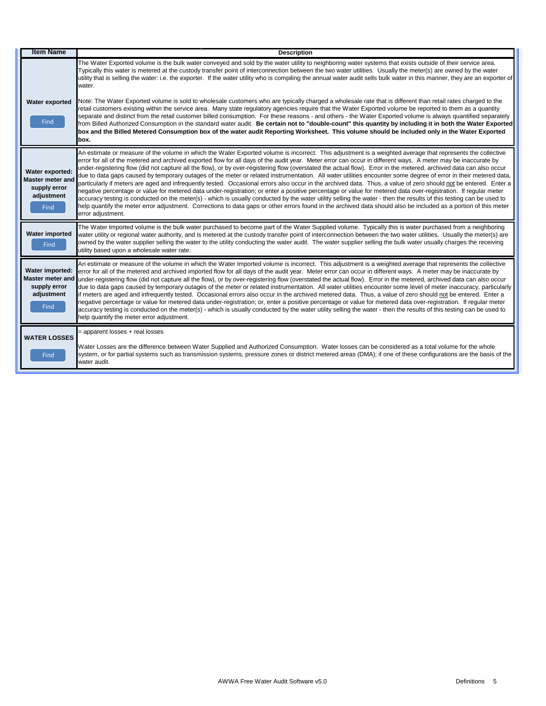| <b>Item Name</b>                                                                 | <b>Description</b>                                                                                                                                                                                                                                                                                                                                                                                                                                                                                                                                                                                                                                                                                                                                                                                                                                                                                                                                                                                                                                                                                                                                                                                                                                                                                                                                                          |
|----------------------------------------------------------------------------------|-----------------------------------------------------------------------------------------------------------------------------------------------------------------------------------------------------------------------------------------------------------------------------------------------------------------------------------------------------------------------------------------------------------------------------------------------------------------------------------------------------------------------------------------------------------------------------------------------------------------------------------------------------------------------------------------------------------------------------------------------------------------------------------------------------------------------------------------------------------------------------------------------------------------------------------------------------------------------------------------------------------------------------------------------------------------------------------------------------------------------------------------------------------------------------------------------------------------------------------------------------------------------------------------------------------------------------------------------------------------------------|
| Water exported<br>Find                                                           | The Water Exported volume is the bulk water conveyed and sold by the water utility to neighboring water systems that exists outside of their service area.<br>Typically this water is metered at the custody transfer point of interconnection between the two water utilities. Usually the meter(s) are owned by the water<br>utility that is selling the water: i.e. the exporter. If the water utility who is compiling the annual water audit sells bulk water in this manner, they are an exporter of<br>water.<br>Note: The Water Exported volume is sold to wholesale customers who are typically charged a wholesale rate that is different than retail rates charged to the<br>retail customers existing within the service area. Many state regulatory agencies require that the Water Exported volume be reported to them as a quantity<br>separate and distinct from the retail customer billed consumption. For these reasons - and others - the Water Exported volume is always quantified separately<br>from Billed Authorized Consumption in the standard water audit. Be certain not to "double-count" this quantity by including it in both the Water Exported<br>box and the Billed Metered Consumption box of the water audit Reporting Worksheet. This volume should be included only in the Water Exported<br>box.                                    |
| Water exported:<br><b>Master meter and</b><br>supply error<br>adjustment<br>Find | An estimate or measure of the volume in which the Water Exported volume is incorrect. This adjustment is a weighted average that represents the collective<br>error for all of the metered and archived exported flow for all days of the audit year. Meter error can occur in different ways. A meter may be inaccurate by<br>under-registering flow (did not capture all the flow), or by over-registering flow (overstated the actual flow). Error in the metered, archived data can also occur<br>due to data gaps caused by temporary outages of the meter or related instrumentation. All water utilities encounter some degree of error in their metered data,<br>particularly if meters are aged and infrequently tested. Occasional errors also occur in the archived data. Thus, a value of zero should not be entered. Enter a<br>negative percentage or value for metered data under-registration; or enter a positive percentage or value for metered data over-registration. If regular meter<br>accuracy testing is conducted on the meter(s) - which is usually conducted by the water utility selling the water - then the results of this testing can be used to<br>help quantify the meter error adjustment. Corrections to data gaps or other errors found in the archived data should also be included as a portion of this meter<br>error adjustment. |
| Water imported<br><b>Find</b>                                                    | The Water Imported volume is the bulk water purchased to become part of the Water Supplied volume. Typically this is water purchased from a neighboring<br>water utility or regional water authority, and is metered at the custody transfer point of interconnection between the two water utilities. Usually the meter(s) are<br>owned by the water supplier selling the water to the utility conducting the water audit. The water supplier selling the bulk water usually charges the receiving<br>utility based upon a wholesale water rate.                                                                                                                                                                                                                                                                                                                                                                                                                                                                                                                                                                                                                                                                                                                                                                                                                           |
| Water imported:<br>Master meter and<br>supply error<br>adjustment<br>Find        | An estimate or measure of the volume in which the Water Imported volume is incorrect. This adjustment is a weighted average that represents the collective<br>error for all of the metered and archived imported flow for all days of the audit year. Meter error can occur in different ways. A meter may be inaccurate by<br>under-registering flow (did not capture all the flow), or by over-registering flow (overstated the actual flow). Error in the metered, archived data can also occur<br>due to data gaps caused by temporary outages of the meter or related instrumentation. All water utilities encounter some level of meter inaccuracy, particularly<br>if meters are aged and infrequently tested. Occasional errors also occur in the archived metered data. Thus, a value of zero should not be entered. Enter a<br>negative percentage or value for metered data under-registration; or, enter a positive percentage or value for metered data over-registration. If regular meter<br>accuracy testing is conducted on the meter(s) - which is usually conducted by the water utility selling the water - then the results of this testing can be used to<br>help quantify the meter error adjustment.                                                                                                                                                |
| <b>WATER LOSSES</b><br>Find                                                      | = apparent losses + real losses<br>Water Losses are the difference between Water Supplied and Authorized Consumption. Water losses can be considered as a total volume for the whole<br>system, or for partial systems such as transmission systems, pressure zones or district metered areas (DMA); if one of these configurations are the basis of the<br>water audit.                                                                                                                                                                                                                                                                                                                                                                                                                                                                                                                                                                                                                                                                                                                                                                                                                                                                                                                                                                                                    |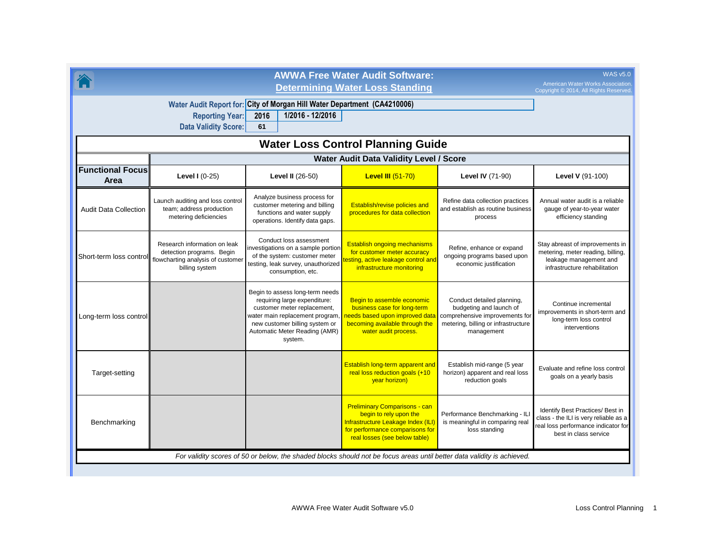|                                                                                                                                                                     | <b>AWWA Free Water Audit Software:</b><br><b>Determining Water Loss Standing</b>                                 |                                                                                                                                                                                                                 |                                                                                                                                                                          |                                                                                                                                              |                                                                                                                                           |  |  |  |
|---------------------------------------------------------------------------------------------------------------------------------------------------------------------|------------------------------------------------------------------------------------------------------------------|-----------------------------------------------------------------------------------------------------------------------------------------------------------------------------------------------------------------|--------------------------------------------------------------------------------------------------------------------------------------------------------------------------|----------------------------------------------------------------------------------------------------------------------------------------------|-------------------------------------------------------------------------------------------------------------------------------------------|--|--|--|
| Water Audit Report for: City of Morgan Hill Water Department (CA4210006)<br><b>Reporting Year:</b><br>1/2016 - 12/2016<br>2016<br><b>Data Validity Score:</b><br>61 |                                                                                                                  |                                                                                                                                                                                                                 |                                                                                                                                                                          |                                                                                                                                              |                                                                                                                                           |  |  |  |
| <b>Water Loss Control Planning Guide</b>                                                                                                                            |                                                                                                                  |                                                                                                                                                                                                                 |                                                                                                                                                                          |                                                                                                                                              |                                                                                                                                           |  |  |  |
|                                                                                                                                                                     | Water Audit Data Validity Level / Score                                                                          |                                                                                                                                                                                                                 |                                                                                                                                                                          |                                                                                                                                              |                                                                                                                                           |  |  |  |
| <b>Functional Focus</b><br>Area                                                                                                                                     | Level $1(0-25)$                                                                                                  | <b>Level II (26-50)</b>                                                                                                                                                                                         | <b>Level III (51-70)</b>                                                                                                                                                 | <b>Level IV (71-90)</b>                                                                                                                      | Level V (91-100)                                                                                                                          |  |  |  |
| <b>Audit Data Collection</b>                                                                                                                                        | Launch auditing and loss control<br>team; address production<br>metering deficiencies                            | Analyze business process for<br>customer metering and billing<br>functions and water supply<br>operations. Identify data gaps.                                                                                  | Establish/revise policies and<br>procedures for data collection                                                                                                          | Refine data collection practices<br>and establish as routine business<br>process                                                             | Annual water audit is a reliable<br>gauge of year-to-year water<br>efficiency standing                                                    |  |  |  |
| Short-term loss contro                                                                                                                                              | Research information on leak<br>detection programs. Begin<br>flowcharting analysis of customer<br>billing system | Conduct loss assessment<br>investigations on a sample portion<br>of the system: customer meter<br>testing, leak survey, unauthorized<br>consumption, etc.                                                       | <b>Establish ongoing mechanisms</b><br>for customer meter accuracy<br>esting, active leakage control and<br>infrastructure monitoring                                    | Refine, enhance or expand<br>ongoing programs based upon<br>economic justification                                                           | Stay abreast of improvements in<br>metering, meter reading, billing,<br>leakage management and<br>infrastructure rehabilitation           |  |  |  |
| Long-term loss control                                                                                                                                              |                                                                                                                  | Begin to assess long-term needs<br>requiring large expenditure:<br>customer meter replacement,<br>water main replacement program,<br>new customer billing system or<br>Automatic Meter Reading (AMR)<br>system. | Begin to assemble economic<br>business case for long-term<br>needs based upon improved data<br>becoming available through the<br>water audit process.                    | Conduct detailed planning,<br>budgeting and launch of<br>comprehensive improvements for<br>metering, billing or infrastructure<br>management | Continue incremental<br>improvements in short-term and<br>long-term loss control<br>interventions                                         |  |  |  |
| Target-setting                                                                                                                                                      |                                                                                                                  |                                                                                                                                                                                                                 | Establish long-term apparent and<br>real loss reduction goals (+10<br>year horizon)                                                                                      | Establish mid-range (5 year<br>horizon) apparent and real loss<br>reduction goals                                                            | Evaluate and refine loss control<br>goals on a yearly basis                                                                               |  |  |  |
| Benchmarking                                                                                                                                                        |                                                                                                                  |                                                                                                                                                                                                                 | <b>Preliminary Comparisons - can</b><br>begin to rely upon the<br>Infrastructure Leakage Index (ILI)<br>for performance comparisons for<br>real losses (see below table) | Performance Benchmarking - IL<br>is meaningful in comparing real<br>loss standing                                                            | Identify Best Practices/ Best in<br>class - the ILI is very reliable as a<br>real loss performance indicator for<br>best in class service |  |  |  |
| For validity scores of 50 or below, the shaded blocks should not be focus areas until better data validity is achieved.                                             |                                                                                                                  |                                                                                                                                                                                                                 |                                                                                                                                                                          |                                                                                                                                              |                                                                                                                                           |  |  |  |